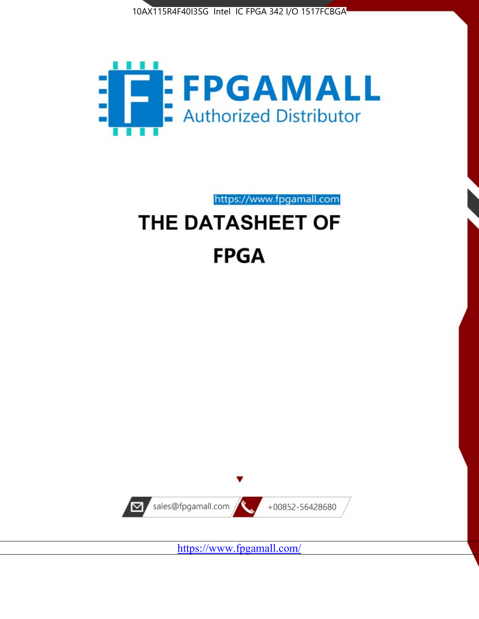



https://www.fpgamall.com

# THE DATASHEET OF **FPGA**



<https://www.fpgamall.com/>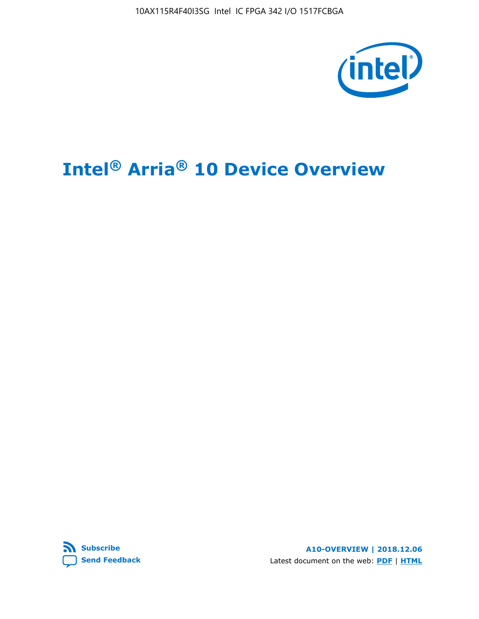10AX115R4F40I3SG Intel IC FPGA 342 I/O 1517FCBGA



# **Intel® Arria® 10 Device Overview**



**A10-OVERVIEW | 2018.12.06** Latest document on the web: **[PDF](https://www.intel.com/content/dam/www/programmable/us/en/pdfs/literature/hb/arria-10/a10_overview.pdf)** | **[HTML](https://www.intel.com/content/www/us/en/programmable/documentation/sam1403480274650.html)**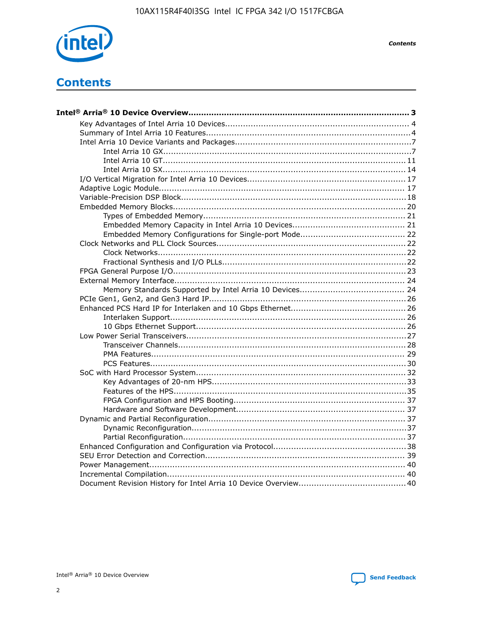

**Contents** 

# **Contents**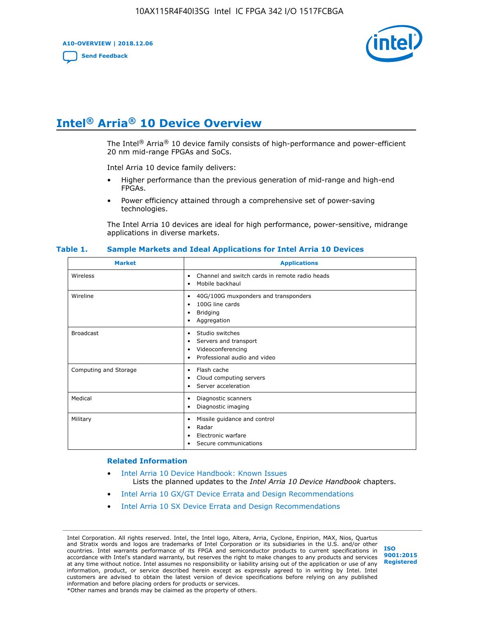**A10-OVERVIEW | 2018.12.06**

**[Send Feedback](mailto:FPGAtechdocfeedback@intel.com?subject=Feedback%20on%20Intel%20Arria%2010%20Device%20Overview%20(A10-OVERVIEW%202018.12.06)&body=We%20appreciate%20your%20feedback.%20In%20your%20comments,%20also%20specify%20the%20page%20number%20or%20paragraph.%20Thank%20you.)**



# **Intel® Arria® 10 Device Overview**

The Intel<sup>®</sup> Arria<sup>®</sup> 10 device family consists of high-performance and power-efficient 20 nm mid-range FPGAs and SoCs.

Intel Arria 10 device family delivers:

- Higher performance than the previous generation of mid-range and high-end FPGAs.
- Power efficiency attained through a comprehensive set of power-saving technologies.

The Intel Arria 10 devices are ideal for high performance, power-sensitive, midrange applications in diverse markets.

| <b>Market</b>         | <b>Applications</b>                                                                                               |
|-----------------------|-------------------------------------------------------------------------------------------------------------------|
| Wireless              | Channel and switch cards in remote radio heads<br>٠<br>Mobile backhaul<br>٠                                       |
| Wireline              | 40G/100G muxponders and transponders<br>٠<br>100G line cards<br>٠<br><b>Bridging</b><br>٠<br>Aggregation<br>٠     |
| <b>Broadcast</b>      | Studio switches<br>٠<br>Servers and transport<br>٠<br>Videoconferencing<br>٠<br>Professional audio and video<br>٠ |
| Computing and Storage | Flash cache<br>٠<br>Cloud computing servers<br>٠<br>Server acceleration<br>٠                                      |
| Medical               | Diagnostic scanners<br>٠<br>Diagnostic imaging<br>٠                                                               |
| Military              | Missile guidance and control<br>٠<br>Radar<br>٠<br>Electronic warfare<br>٠<br>Secure communications<br>٠          |

#### **Table 1. Sample Markets and Ideal Applications for Intel Arria 10 Devices**

#### **Related Information**

- [Intel Arria 10 Device Handbook: Known Issues](http://www.altera.com/support/kdb/solutions/rd07302013_646.html) Lists the planned updates to the *Intel Arria 10 Device Handbook* chapters.
- [Intel Arria 10 GX/GT Device Errata and Design Recommendations](https://www.intel.com/content/www/us/en/programmable/documentation/agz1493851706374.html#yqz1494433888646)
- [Intel Arria 10 SX Device Errata and Design Recommendations](https://www.intel.com/content/www/us/en/programmable/documentation/cru1462832385668.html#cru1462832558642)

Intel Corporation. All rights reserved. Intel, the Intel logo, Altera, Arria, Cyclone, Enpirion, MAX, Nios, Quartus and Stratix words and logos are trademarks of Intel Corporation or its subsidiaries in the U.S. and/or other countries. Intel warrants performance of its FPGA and semiconductor products to current specifications in accordance with Intel's standard warranty, but reserves the right to make changes to any products and services at any time without notice. Intel assumes no responsibility or liability arising out of the application or use of any information, product, or service described herein except as expressly agreed to in writing by Intel. Intel customers are advised to obtain the latest version of device specifications before relying on any published information and before placing orders for products or services. \*Other names and brands may be claimed as the property of others.

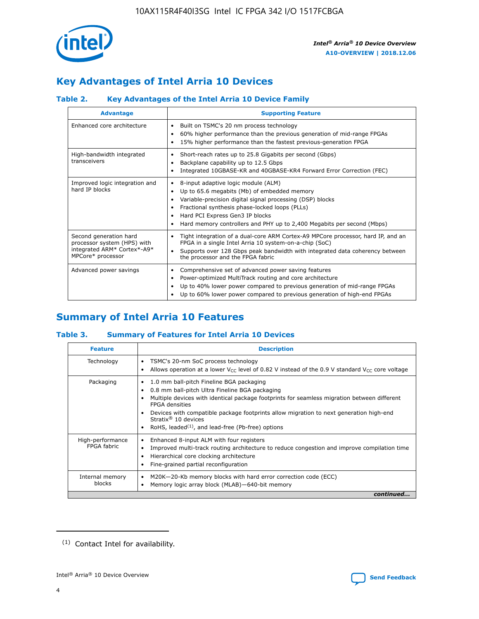

# **Key Advantages of Intel Arria 10 Devices**

## **Table 2. Key Advantages of the Intel Arria 10 Device Family**

| <b>Advantage</b>                                                                                          | <b>Supporting Feature</b>                                                                                                                                                                                                                                                                                                |
|-----------------------------------------------------------------------------------------------------------|--------------------------------------------------------------------------------------------------------------------------------------------------------------------------------------------------------------------------------------------------------------------------------------------------------------------------|
| Enhanced core architecture                                                                                | Built on TSMC's 20 nm process technology<br>٠<br>60% higher performance than the previous generation of mid-range FPGAs<br>٠<br>15% higher performance than the fastest previous-generation FPGA<br>٠                                                                                                                    |
| High-bandwidth integrated<br>transceivers                                                                 | Short-reach rates up to 25.8 Gigabits per second (Gbps)<br>٠<br>Backplane capability up to 12.5 Gbps<br>٠<br>Integrated 10GBASE-KR and 40GBASE-KR4 Forward Error Correction (FEC)<br>٠                                                                                                                                   |
| Improved logic integration and<br>hard IP blocks                                                          | 8-input adaptive logic module (ALM)<br>٠<br>Up to 65.6 megabits (Mb) of embedded memory<br>٠<br>Variable-precision digital signal processing (DSP) blocks<br>Fractional synthesis phase-locked loops (PLLs)<br>Hard PCI Express Gen3 IP blocks<br>Hard memory controllers and PHY up to 2,400 Megabits per second (Mbps) |
| Second generation hard<br>processor system (HPS) with<br>integrated ARM* Cortex*-A9*<br>MPCore* processor | Tight integration of a dual-core ARM Cortex-A9 MPCore processor, hard IP, and an<br>٠<br>FPGA in a single Intel Arria 10 system-on-a-chip (SoC)<br>Supports over 128 Gbps peak bandwidth with integrated data coherency between<br>$\bullet$<br>the processor and the FPGA fabric                                        |
| Advanced power savings                                                                                    | Comprehensive set of advanced power saving features<br>٠<br>Power-optimized MultiTrack routing and core architecture<br>٠<br>Up to 40% lower power compared to previous generation of mid-range FPGAs<br>Up to 60% lower power compared to previous generation of high-end FPGAs                                         |

# **Summary of Intel Arria 10 Features**

## **Table 3. Summary of Features for Intel Arria 10 Devices**

| <b>Feature</b>                  | <b>Description</b>                                                                                                                                                                                                                                                                                                                                                                                 |
|---------------------------------|----------------------------------------------------------------------------------------------------------------------------------------------------------------------------------------------------------------------------------------------------------------------------------------------------------------------------------------------------------------------------------------------------|
| Technology                      | TSMC's 20-nm SoC process technology<br>Allows operation at a lower $V_{\text{CC}}$ level of 0.82 V instead of the 0.9 V standard $V_{\text{CC}}$ core voltage                                                                                                                                                                                                                                      |
| Packaging                       | 1.0 mm ball-pitch Fineline BGA packaging<br>٠<br>0.8 mm ball-pitch Ultra Fineline BGA packaging<br>Multiple devices with identical package footprints for seamless migration between different<br><b>FPGA</b> densities<br>Devices with compatible package footprints allow migration to next generation high-end<br>Stratix $@10$ devices<br>RoHS, leaded $(1)$ , and lead-free (Pb-free) options |
| High-performance<br>FPGA fabric | Enhanced 8-input ALM with four registers<br>Improved multi-track routing architecture to reduce congestion and improve compilation time<br>Hierarchical core clocking architecture<br>Fine-grained partial reconfiguration                                                                                                                                                                         |
| Internal memory<br>blocks       | M20K-20-Kb memory blocks with hard error correction code (ECC)<br>Memory logic array block (MLAB)-640-bit memory                                                                                                                                                                                                                                                                                   |
|                                 | continued                                                                                                                                                                                                                                                                                                                                                                                          |



<sup>(1)</sup> Contact Intel for availability.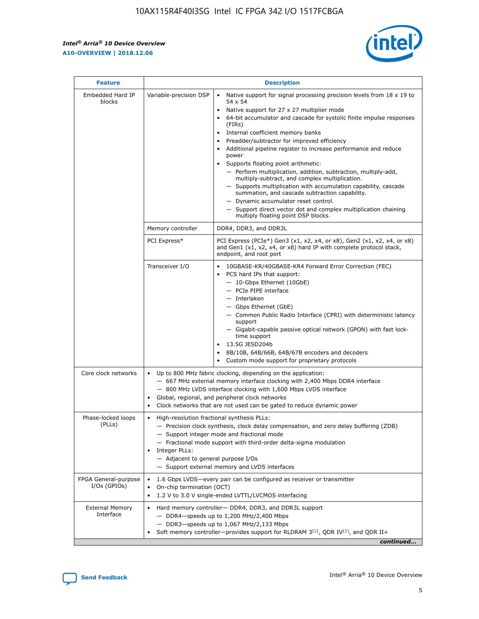$\mathbf{r}$ 



| <b>Feature</b>                         |                                                                                                                                                                                                                                                                                                                                   | <b>Description</b>                                                                                                                                                                                                                                                                                                                                                                                                                                                                                                                                                                                                                                                                                                                                                                                                                                               |  |  |  |  |  |
|----------------------------------------|-----------------------------------------------------------------------------------------------------------------------------------------------------------------------------------------------------------------------------------------------------------------------------------------------------------------------------------|------------------------------------------------------------------------------------------------------------------------------------------------------------------------------------------------------------------------------------------------------------------------------------------------------------------------------------------------------------------------------------------------------------------------------------------------------------------------------------------------------------------------------------------------------------------------------------------------------------------------------------------------------------------------------------------------------------------------------------------------------------------------------------------------------------------------------------------------------------------|--|--|--|--|--|
| Embedded Hard IP<br>blocks             | Variable-precision DSP                                                                                                                                                                                                                                                                                                            | Native support for signal processing precision levels from $18 \times 19$ to<br>$\bullet$<br>54 x 54<br>Native support for 27 x 27 multiplier mode<br>$\bullet$<br>64-bit accumulator and cascade for systolic finite impulse responses<br>(FIRs)<br>Internal coefficient memory banks<br>$\bullet$<br>Preadder/subtractor for improved efficiency<br>Additional pipeline register to increase performance and reduce<br>power<br>Supports floating point arithmetic:<br>- Perform multiplication, addition, subtraction, multiply-add,<br>multiply-subtract, and complex multiplication.<br>- Supports multiplication with accumulation capability, cascade<br>summation, and cascade subtraction capability.<br>- Dynamic accumulator reset control.<br>- Support direct vector dot and complex multiplication chaining<br>multiply floating point DSP blocks. |  |  |  |  |  |
|                                        | Memory controller                                                                                                                                                                                                                                                                                                                 | DDR4, DDR3, and DDR3L                                                                                                                                                                                                                                                                                                                                                                                                                                                                                                                                                                                                                                                                                                                                                                                                                                            |  |  |  |  |  |
|                                        | PCI Express*                                                                                                                                                                                                                                                                                                                      | PCI Express (PCIe*) Gen3 (x1, x2, x4, or x8), Gen2 (x1, x2, x4, or x8)<br>and Gen1 (x1, x2, x4, or x8) hard IP with complete protocol stack,<br>endpoint, and root port                                                                                                                                                                                                                                                                                                                                                                                                                                                                                                                                                                                                                                                                                          |  |  |  |  |  |
|                                        | Transceiver I/O                                                                                                                                                                                                                                                                                                                   | 10GBASE-KR/40GBASE-KR4 Forward Error Correction (FEC)<br>PCS hard IPs that support:<br>- 10-Gbps Ethernet (10GbE)<br>- PCIe PIPE interface<br>- Interlaken<br>- Gbps Ethernet (GbE)<br>- Common Public Radio Interface (CPRI) with deterministic latency<br>support<br>- Gigabit-capable passive optical network (GPON) with fast lock-<br>time support<br>13.5G JESD204b<br>$\bullet$<br>8B/10B, 64B/66B, 64B/67B encoders and decoders<br>Custom mode support for proprietary protocols                                                                                                                                                                                                                                                                                                                                                                        |  |  |  |  |  |
| Core clock networks                    | $\bullet$                                                                                                                                                                                                                                                                                                                         | Up to 800 MHz fabric clocking, depending on the application:<br>- 667 MHz external memory interface clocking with 2,400 Mbps DDR4 interface<br>- 800 MHz LVDS interface clocking with 1,600 Mbps LVDS interface<br>Global, regional, and peripheral clock networks<br>Clock networks that are not used can be gated to reduce dynamic power                                                                                                                                                                                                                                                                                                                                                                                                                                                                                                                      |  |  |  |  |  |
| Phase-locked loops<br>(PLLs)           | High-resolution fractional synthesis PLLs:<br>$\bullet$<br>Integer PLLs:<br>- Adjacent to general purpose I/Os                                                                                                                                                                                                                    | - Precision clock synthesis, clock delay compensation, and zero delay buffering (ZDB)<br>- Support integer mode and fractional mode<br>- Fractional mode support with third-order delta-sigma modulation<br>- Support external memory and LVDS interfaces                                                                                                                                                                                                                                                                                                                                                                                                                                                                                                                                                                                                        |  |  |  |  |  |
| FPGA General-purpose<br>$I/Os$ (GPIOs) | On-chip termination (OCT)<br>$\bullet$                                                                                                                                                                                                                                                                                            | 1.6 Gbps LVDS-every pair can be configured as receiver or transmitter                                                                                                                                                                                                                                                                                                                                                                                                                                                                                                                                                                                                                                                                                                                                                                                            |  |  |  |  |  |
| <b>External Memory</b><br>Interface    | 1.2 V to 3.0 V single-ended LVTTL/LVCMOS interfacing<br>Hard memory controller- DDR4, DDR3, and DDR3L support<br>$\bullet$<br>$-$ DDR4-speeds up to 1,200 MHz/2,400 Mbps<br>- DDR3-speeds up to 1,067 MHz/2,133 Mbps<br>Soft memory controller—provides support for RLDRAM $3^{(2)}$ , QDR IV $^{(2)}$ , and QDR II+<br>continued |                                                                                                                                                                                                                                                                                                                                                                                                                                                                                                                                                                                                                                                                                                                                                                                                                                                                  |  |  |  |  |  |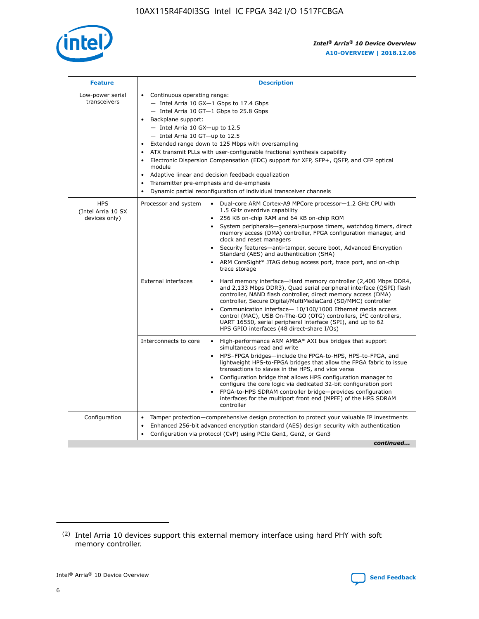

| <b>Feature</b>                                    | <b>Description</b>                                                                                                                                                                                                                                                                                                                                                                                                                                                                                                                                                                                                                                  |
|---------------------------------------------------|-----------------------------------------------------------------------------------------------------------------------------------------------------------------------------------------------------------------------------------------------------------------------------------------------------------------------------------------------------------------------------------------------------------------------------------------------------------------------------------------------------------------------------------------------------------------------------------------------------------------------------------------------------|
| Low-power serial<br>transceivers                  | • Continuous operating range:<br>- Intel Arria 10 GX-1 Gbps to 17.4 Gbps<br>- Intel Arria 10 GT-1 Gbps to 25.8 Gbps<br>Backplane support:<br>- Intel Arria 10 GX-up to 12.5<br>- Intel Arria 10 GT-up to 12.5<br>Extended range down to 125 Mbps with oversampling<br>ATX transmit PLLs with user-configurable fractional synthesis capability<br>Electronic Dispersion Compensation (EDC) support for XFP, SFP+, QSFP, and CFP optical<br>module<br>Adaptive linear and decision feedback equalization<br>$\bullet$<br>Transmitter pre-emphasis and de-emphasis<br>$\bullet$<br>Dynamic partial reconfiguration of individual transceiver channels |
| <b>HPS</b><br>(Intel Arria 10 SX<br>devices only) | Dual-core ARM Cortex-A9 MPCore processor-1.2 GHz CPU with<br>Processor and system<br>$\bullet$<br>1.5 GHz overdrive capability<br>256 KB on-chip RAM and 64 KB on-chip ROM<br>System peripherals—general-purpose timers, watchdog timers, direct<br>memory access (DMA) controller, FPGA configuration manager, and<br>clock and reset managers<br>Security features-anti-tamper, secure boot, Advanced Encryption<br>Standard (AES) and authentication (SHA)<br>ARM CoreSight* JTAG debug access port, trace port, and on-chip<br>trace storage                                                                                                    |
|                                                   | <b>External interfaces</b><br>Hard memory interface-Hard memory controller (2,400 Mbps DDR4,<br>$\bullet$<br>and 2,133 Mbps DDR3), Quad serial peripheral interface (QSPI) flash<br>controller, NAND flash controller, direct memory access (DMA)<br>controller, Secure Digital/MultiMediaCard (SD/MMC) controller<br>Communication interface-10/100/1000 Ethernet media access<br>control (MAC), USB On-The-GO (OTG) controllers, I <sup>2</sup> C controllers,<br>UART 16550, serial peripheral interface (SPI), and up to 62<br>HPS GPIO interfaces (48 direct-share I/Os)                                                                       |
|                                                   | High-performance ARM AMBA* AXI bus bridges that support<br>Interconnects to core<br>$\bullet$<br>simultaneous read and write<br>HPS-FPGA bridges-include the FPGA-to-HPS, HPS-to-FPGA, and<br>$\bullet$<br>lightweight HPS-to-FPGA bridges that allow the FPGA fabric to issue<br>transactions to slaves in the HPS, and vice versa<br>Configuration bridge that allows HPS configuration manager to<br>configure the core logic via dedicated 32-bit configuration port<br>FPGA-to-HPS SDRAM controller bridge-provides configuration<br>interfaces for the multiport front end (MPFE) of the HPS SDRAM<br>controller                              |
| Configuration                                     | Tamper protection—comprehensive design protection to protect your valuable IP investments<br>Enhanced 256-bit advanced encryption standard (AES) design security with authentication<br>٠<br>Configuration via protocol (CvP) using PCIe Gen1, Gen2, or Gen3<br>continued                                                                                                                                                                                                                                                                                                                                                                           |

<sup>(2)</sup> Intel Arria 10 devices support this external memory interface using hard PHY with soft memory controller.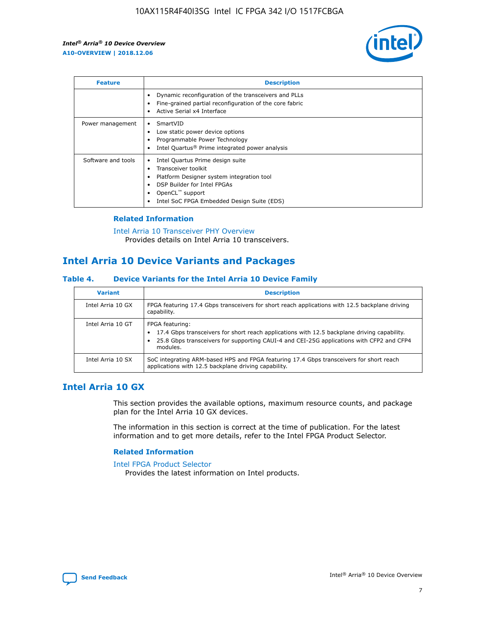

| <b>Feature</b>     | <b>Description</b>                                                                                                                                                                                                            |
|--------------------|-------------------------------------------------------------------------------------------------------------------------------------------------------------------------------------------------------------------------------|
|                    | Dynamic reconfiguration of the transceivers and PLLs<br>Fine-grained partial reconfiguration of the core fabric<br>Active Serial x4 Interface<br>$\bullet$                                                                    |
| Power management   | SmartVID<br>Low static power device options<br>Programmable Power Technology<br>Intel Quartus <sup>®</sup> Prime integrated power analysis                                                                                    |
| Software and tools | Intel Quartus Prime design suite<br>Transceiver toolkit<br>$\bullet$<br>Platform Designer system integration tool<br>DSP Builder for Intel FPGAs<br>OpenCL <sup>"</sup> support<br>Intel SoC FPGA Embedded Design Suite (EDS) |

## **Related Information**

[Intel Arria 10 Transceiver PHY Overview](https://www.intel.com/content/www/us/en/programmable/documentation/nik1398707230472.html#nik1398706768037) Provides details on Intel Arria 10 transceivers.

## **Intel Arria 10 Device Variants and Packages**

#### **Table 4. Device Variants for the Intel Arria 10 Device Family**

| <b>Variant</b>    | <b>Description</b>                                                                                                                                                                                                     |
|-------------------|------------------------------------------------------------------------------------------------------------------------------------------------------------------------------------------------------------------------|
| Intel Arria 10 GX | FPGA featuring 17.4 Gbps transceivers for short reach applications with 12.5 backplane driving<br>capability.                                                                                                          |
| Intel Arria 10 GT | FPGA featuring:<br>17.4 Gbps transceivers for short reach applications with 12.5 backplane driving capability.<br>25.8 Gbps transceivers for supporting CAUI-4 and CEI-25G applications with CFP2 and CFP4<br>modules. |
| Intel Arria 10 SX | SoC integrating ARM-based HPS and FPGA featuring 17.4 Gbps transceivers for short reach<br>applications with 12.5 backplane driving capability.                                                                        |

## **Intel Arria 10 GX**

This section provides the available options, maximum resource counts, and package plan for the Intel Arria 10 GX devices.

The information in this section is correct at the time of publication. For the latest information and to get more details, refer to the Intel FPGA Product Selector.

#### **Related Information**

#### [Intel FPGA Product Selector](http://www.altera.com/products/selector/psg-selector.html) Provides the latest information on Intel products.

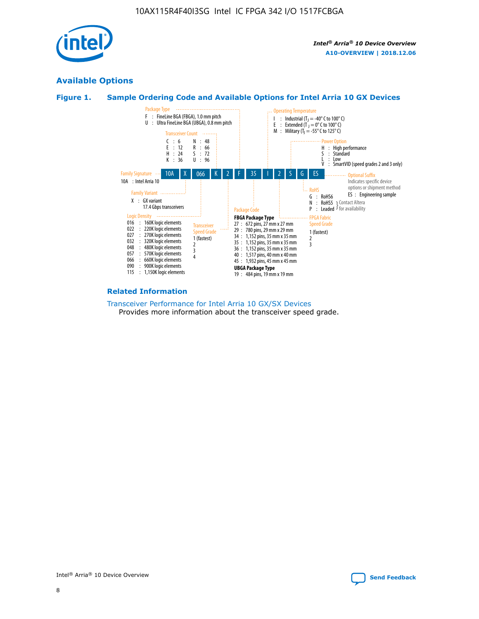

## **Available Options**





#### **Related Information**

[Transceiver Performance for Intel Arria 10 GX/SX Devices](https://www.intel.com/content/www/us/en/programmable/documentation/mcn1413182292568.html#mcn1413213965502) Provides more information about the transceiver speed grade.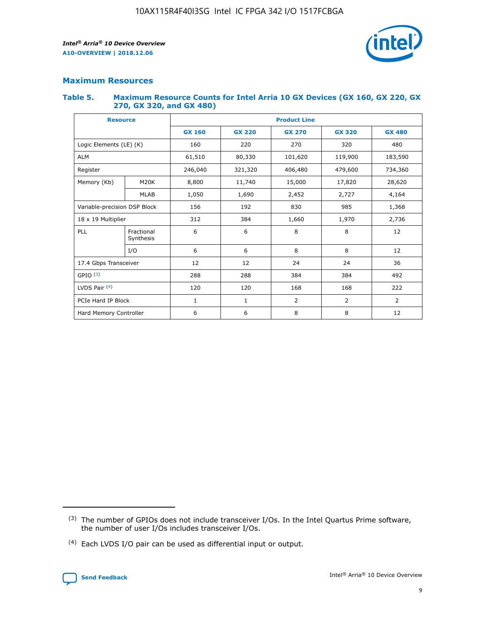

## **Maximum Resources**

#### **Table 5. Maximum Resource Counts for Intel Arria 10 GX Devices (GX 160, GX 220, GX 270, GX 320, and GX 480)**

| <b>Resource</b>              |                         | <b>Product Line</b> |                                                 |                    |                |                |  |  |  |
|------------------------------|-------------------------|---------------------|-------------------------------------------------|--------------------|----------------|----------------|--|--|--|
|                              |                         | <b>GX 160</b>       | <b>GX 220</b><br><b>GX 270</b><br><b>GX 320</b> |                    |                | <b>GX 480</b>  |  |  |  |
| Logic Elements (LE) (K)      |                         | 160                 | 220<br>320<br>270                               |                    |                | 480            |  |  |  |
| <b>ALM</b>                   |                         | 61,510              | 80,330                                          | 101,620            | 119,900        | 183,590        |  |  |  |
| Register                     |                         | 246,040             | 321,320                                         | 406,480<br>479,600 |                | 734,360        |  |  |  |
| Memory (Kb)                  | M <sub>20</sub> K       | 8,800               | 11,740                                          | 15,000<br>17,820   |                | 28,620         |  |  |  |
|                              | <b>MLAB</b>             | 1,050               | 1,690                                           | 2,452              | 2,727          | 4,164          |  |  |  |
| Variable-precision DSP Block |                         | 156                 | 192                                             | 830                | 985            | 1,368          |  |  |  |
| 18 x 19 Multiplier           |                         | 312                 | 384                                             | 1,660<br>1,970     |                | 2,736          |  |  |  |
| PLL                          | Fractional<br>Synthesis | 6                   | 6                                               | 8                  | 8              | 12             |  |  |  |
|                              | I/O                     | 6                   | 6                                               | 8                  | 8              | 12             |  |  |  |
| 17.4 Gbps Transceiver        |                         | 12                  | 12                                              | 24                 | 24             | 36             |  |  |  |
| GPIO <sup>(3)</sup>          |                         | 288                 | 288                                             | 384                | 384            | 492            |  |  |  |
| LVDS Pair $(4)$              |                         | 120                 | 120                                             | 168                | 168            | 222            |  |  |  |
| PCIe Hard IP Block           |                         | $\mathbf{1}$        | 1                                               | $\overline{2}$     | $\overline{2}$ | $\overline{2}$ |  |  |  |
| Hard Memory Controller       |                         | 6                   | 6                                               | 8                  | 8              | 12             |  |  |  |

<sup>(4)</sup> Each LVDS I/O pair can be used as differential input or output.



<sup>(3)</sup> The number of GPIOs does not include transceiver I/Os. In the Intel Quartus Prime software, the number of user I/Os includes transceiver I/Os.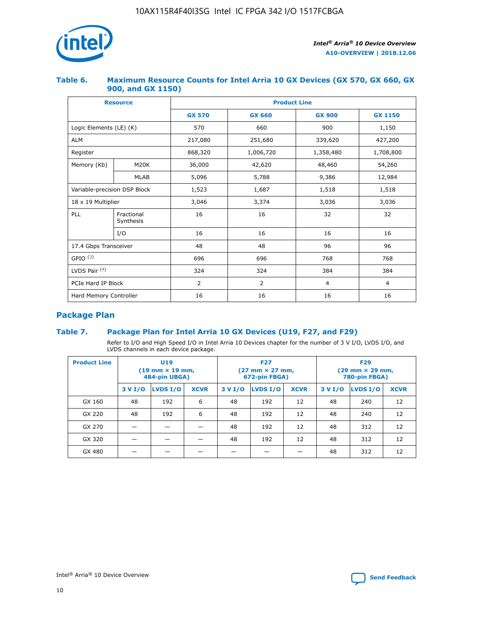

## **Table 6. Maximum Resource Counts for Intel Arria 10 GX Devices (GX 570, GX 660, GX 900, and GX 1150)**

|                              | <b>Resource</b>         | <b>Product Line</b> |                        |                |                |  |  |  |
|------------------------------|-------------------------|---------------------|------------------------|----------------|----------------|--|--|--|
|                              |                         | <b>GX 570</b>       | <b>GX 660</b>          | <b>GX 900</b>  | <b>GX 1150</b> |  |  |  |
| Logic Elements (LE) (K)      |                         | 570                 | 660                    | 900            | 1,150          |  |  |  |
| <b>ALM</b>                   |                         | 217,080             | 251,680                | 339,620        | 427,200        |  |  |  |
| Register                     |                         | 868,320             | 1,006,720<br>1,358,480 |                | 1,708,800      |  |  |  |
| Memory (Kb)                  | <b>M20K</b>             | 36,000              | 42,620                 | 48,460         | 54,260         |  |  |  |
|                              | <b>MLAB</b>             | 5,096               | 5,788                  | 9,386          | 12,984         |  |  |  |
| Variable-precision DSP Block |                         | 1,523               | 1,687                  | 1,518          | 1,518          |  |  |  |
| $18 \times 19$ Multiplier    |                         | 3,046               | 3,374                  | 3,036          | 3,036          |  |  |  |
| PLL                          | Fractional<br>Synthesis | 16                  | 16                     | 32             | 32             |  |  |  |
|                              | I/O                     | 16                  | 16                     | 16             | 16             |  |  |  |
| 17.4 Gbps Transceiver        |                         | 48                  | 48<br>96               |                | 96             |  |  |  |
| GPIO <sup>(3)</sup>          |                         | 696                 | 696                    | 768            | 768            |  |  |  |
| LVDS Pair $(4)$              |                         | 324                 | 324                    | 384            | 384            |  |  |  |
| PCIe Hard IP Block           |                         | 2                   | $\overline{2}$         | $\overline{4}$ | 4              |  |  |  |
| Hard Memory Controller       |                         | 16                  | 16                     | 16             | 16             |  |  |  |

## **Package Plan**

## **Table 7. Package Plan for Intel Arria 10 GX Devices (U19, F27, and F29)**

Refer to I/O and High Speed I/O in Intel Arria 10 Devices chapter for the number of 3 V I/O, LVDS I/O, and LVDS channels in each device package.

| <b>Product Line</b> | <b>U19</b><br>$(19 \text{ mm} \times 19 \text{ mm})$<br>484-pin UBGA) |          |             |         | <b>F27</b><br>(27 mm × 27 mm,<br>672-pin FBGA) |             | <b>F29</b><br>(29 mm × 29 mm,<br>780-pin FBGA) |          |             |  |
|---------------------|-----------------------------------------------------------------------|----------|-------------|---------|------------------------------------------------|-------------|------------------------------------------------|----------|-------------|--|
|                     | 3 V I/O                                                               | LVDS I/O | <b>XCVR</b> | 3 V I/O | <b>LVDS I/O</b>                                | <b>XCVR</b> | 3 V I/O                                        | LVDS I/O | <b>XCVR</b> |  |
| GX 160              | 48                                                                    | 192      | 6           | 48      | 192                                            | 12          | 48                                             | 240      | 12          |  |
| GX 220              | 48                                                                    | 192      | 6           | 48      | 192                                            | 12          | 48                                             | 240      | 12          |  |
| GX 270              |                                                                       |          |             | 48      | 192                                            | 12          | 48                                             | 312      | 12          |  |
| GX 320              |                                                                       |          |             | 48      | 192                                            | 12          | 48                                             | 312      | 12          |  |
| GX 480              |                                                                       |          |             |         |                                                |             | 48                                             | 312      | 12          |  |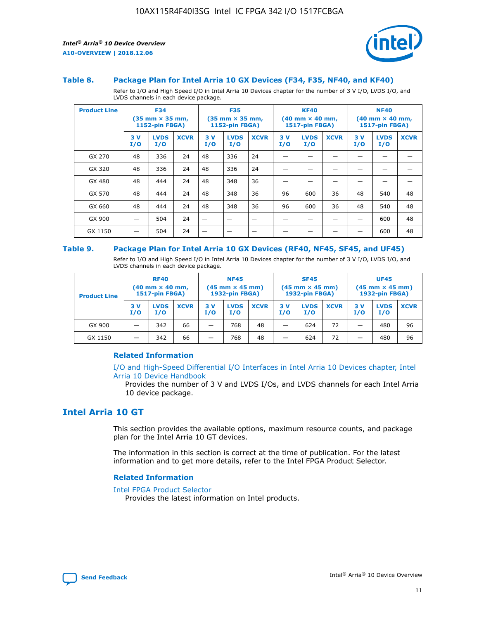

#### **Table 8. Package Plan for Intel Arria 10 GX Devices (F34, F35, NF40, and KF40)**

Refer to I/O and High Speed I/O in Intel Arria 10 Devices chapter for the number of 3 V I/O, LVDS I/O, and LVDS channels in each device package.

| <b>Product Line</b> | <b>F34</b><br>$(35 \text{ mm} \times 35 \text{ mm})$<br><b>1152-pin FBGA)</b> |                    | <b>F35</b><br>$(35 \text{ mm} \times 35 \text{ mm})$<br><b>1152-pin FBGA)</b> |           | <b>KF40</b><br>$(40$ mm $\times$ 40 mm,<br>1517-pin FBGA) |             |           | <b>NF40</b><br>$(40 \text{ mm} \times 40 \text{ mm})$<br>1517-pin FBGA) |             |           |                    |             |
|---------------------|-------------------------------------------------------------------------------|--------------------|-------------------------------------------------------------------------------|-----------|-----------------------------------------------------------|-------------|-----------|-------------------------------------------------------------------------|-------------|-----------|--------------------|-------------|
|                     | 3V<br>I/O                                                                     | <b>LVDS</b><br>I/O | <b>XCVR</b>                                                                   | 3V<br>I/O | <b>LVDS</b><br>I/O                                        | <b>XCVR</b> | 3V<br>I/O | <b>LVDS</b><br>I/O                                                      | <b>XCVR</b> | 3V<br>I/O | <b>LVDS</b><br>I/O | <b>XCVR</b> |
| GX 270              | 48                                                                            | 336                | 24                                                                            | 48        | 336                                                       | 24          |           |                                                                         |             |           |                    |             |
| GX 320              | 48                                                                            | 336                | 24                                                                            | 48        | 336                                                       | 24          |           |                                                                         |             |           |                    |             |
| GX 480              | 48                                                                            | 444                | 24                                                                            | 48        | 348                                                       | 36          |           |                                                                         |             |           |                    |             |
| GX 570              | 48                                                                            | 444                | 24                                                                            | 48        | 348                                                       | 36          | 96        | 600                                                                     | 36          | 48        | 540                | 48          |
| GX 660              | 48                                                                            | 444                | 24                                                                            | 48        | 348                                                       | 36          | 96        | 600                                                                     | 36          | 48        | 540                | 48          |
| GX 900              |                                                                               | 504                | 24                                                                            | —         |                                                           | -           |           |                                                                         |             |           | 600                | 48          |
| GX 1150             |                                                                               | 504                | 24                                                                            |           |                                                           |             |           |                                                                         |             |           | 600                | 48          |

#### **Table 9. Package Plan for Intel Arria 10 GX Devices (RF40, NF45, SF45, and UF45)**

Refer to I/O and High Speed I/O in Intel Arria 10 Devices chapter for the number of 3 V I/O, LVDS I/O, and LVDS channels in each device package.

| <b>Product Line</b> | <b>RF40</b><br>$(40$ mm $\times$ 40 mm,<br>1517-pin FBGA) |                    |             | <b>NF45</b><br>$(45 \text{ mm} \times 45 \text{ mm})$<br><b>1932-pin FBGA)</b> |                    |             | <b>SF45</b><br>$(45 \text{ mm} \times 45 \text{ mm})$<br><b>1932-pin FBGA)</b> |                    |             | <b>UF45</b><br>$(45 \text{ mm} \times 45 \text{ mm})$<br><b>1932-pin FBGA)</b> |                    |             |
|---------------------|-----------------------------------------------------------|--------------------|-------------|--------------------------------------------------------------------------------|--------------------|-------------|--------------------------------------------------------------------------------|--------------------|-------------|--------------------------------------------------------------------------------|--------------------|-------------|
|                     | 3V<br>I/O                                                 | <b>LVDS</b><br>I/O | <b>XCVR</b> | 3 V<br>I/O                                                                     | <b>LVDS</b><br>I/O | <b>XCVR</b> | 3 V<br>I/O                                                                     | <b>LVDS</b><br>I/O | <b>XCVR</b> | 3V<br>I/O                                                                      | <b>LVDS</b><br>I/O | <b>XCVR</b> |
| GX 900              |                                                           | 342                | 66          | _                                                                              | 768                | 48          |                                                                                | 624                | 72          |                                                                                | 480                | 96          |
| GX 1150             |                                                           | 342                | 66          | _                                                                              | 768                | 48          |                                                                                | 624                | 72          |                                                                                | 480                | 96          |

#### **Related Information**

[I/O and High-Speed Differential I/O Interfaces in Intel Arria 10 Devices chapter, Intel](https://www.intel.com/content/www/us/en/programmable/documentation/sam1403482614086.html#sam1403482030321) [Arria 10 Device Handbook](https://www.intel.com/content/www/us/en/programmable/documentation/sam1403482614086.html#sam1403482030321)

Provides the number of 3 V and LVDS I/Os, and LVDS channels for each Intel Arria 10 device package.

## **Intel Arria 10 GT**

This section provides the available options, maximum resource counts, and package plan for the Intel Arria 10 GT devices.

The information in this section is correct at the time of publication. For the latest information and to get more details, refer to the Intel FPGA Product Selector.

#### **Related Information**

#### [Intel FPGA Product Selector](http://www.altera.com/products/selector/psg-selector.html)

Provides the latest information on Intel products.

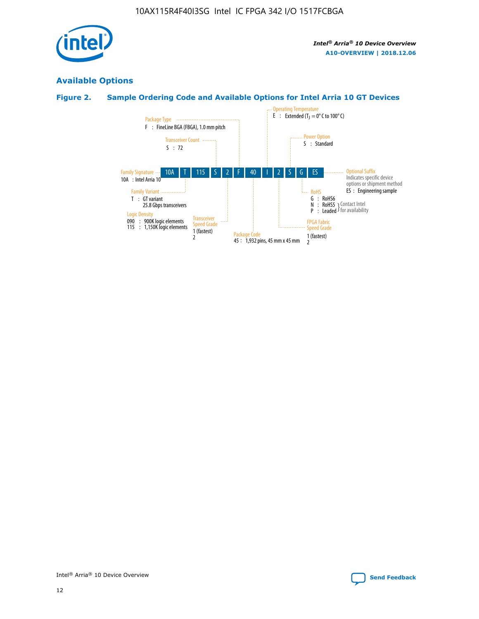

# **Available Options**

## **Figure 2. Sample Ordering Code and Available Options for Intel Arria 10 GT Devices**

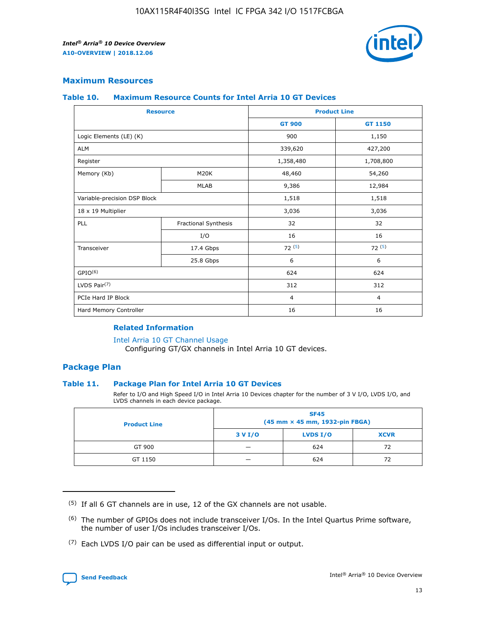

## **Maximum Resources**

#### **Table 10. Maximum Resource Counts for Intel Arria 10 GT Devices**

| <b>Resource</b>              |                      |                | <b>Product Line</b> |  |
|------------------------------|----------------------|----------------|---------------------|--|
|                              |                      | <b>GT 900</b>  | GT 1150             |  |
| Logic Elements (LE) (K)      |                      | 900            | 1,150               |  |
| <b>ALM</b>                   |                      | 339,620        | 427,200             |  |
| Register                     |                      | 1,358,480      | 1,708,800           |  |
| Memory (Kb)                  | M20K                 | 48,460         | 54,260              |  |
|                              | <b>MLAB</b>          | 9,386          | 12,984              |  |
| Variable-precision DSP Block |                      | 1,518          | 1,518               |  |
| 18 x 19 Multiplier           |                      | 3,036          | 3,036               |  |
| <b>PLL</b>                   | Fractional Synthesis | 32             | 32                  |  |
|                              | I/O                  | 16             | 16                  |  |
| Transceiver                  | 17.4 Gbps            | 72(5)          | 72(5)               |  |
|                              | 25.8 Gbps            | 6              | 6                   |  |
| GPIO <sup>(6)</sup>          |                      | 624            | 624                 |  |
| LVDS Pair $(7)$              |                      | 312            | 312                 |  |
| PCIe Hard IP Block           |                      | $\overline{4}$ | $\overline{4}$      |  |
| Hard Memory Controller       |                      | 16             | 16                  |  |

#### **Related Information**

#### [Intel Arria 10 GT Channel Usage](https://www.intel.com/content/www/us/en/programmable/documentation/nik1398707230472.html#nik1398707008178)

Configuring GT/GX channels in Intel Arria 10 GT devices.

## **Package Plan**

#### **Table 11. Package Plan for Intel Arria 10 GT Devices**

Refer to I/O and High Speed I/O in Intel Arria 10 Devices chapter for the number of 3 V I/O, LVDS I/O, and LVDS channels in each device package.

| <b>Product Line</b> | <b>SF45</b><br>(45 mm × 45 mm, 1932-pin FBGA) |                 |             |  |  |  |
|---------------------|-----------------------------------------------|-----------------|-------------|--|--|--|
|                     | 3 V I/O                                       | <b>LVDS I/O</b> | <b>XCVR</b> |  |  |  |
| GT 900              |                                               | 624             | 72          |  |  |  |
| GT 1150             |                                               | 624             | 72          |  |  |  |

<sup>(7)</sup> Each LVDS I/O pair can be used as differential input or output.



 $(5)$  If all 6 GT channels are in use, 12 of the GX channels are not usable.

<sup>(6)</sup> The number of GPIOs does not include transceiver I/Os. In the Intel Quartus Prime software, the number of user I/Os includes transceiver I/Os.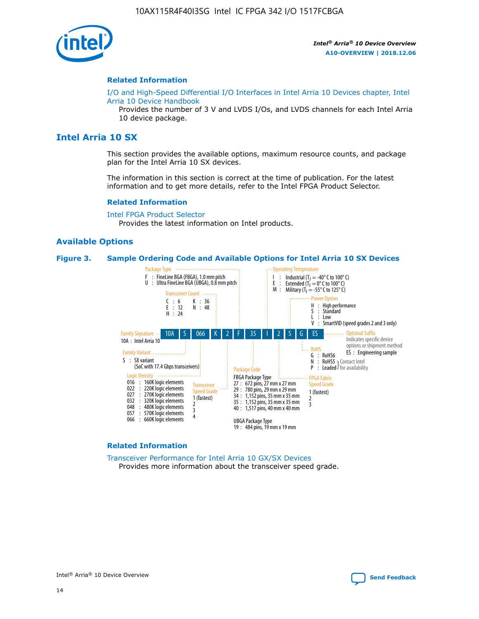

#### **Related Information**

[I/O and High-Speed Differential I/O Interfaces in Intel Arria 10 Devices chapter, Intel](https://www.intel.com/content/www/us/en/programmable/documentation/sam1403482614086.html#sam1403482030321) [Arria 10 Device Handbook](https://www.intel.com/content/www/us/en/programmable/documentation/sam1403482614086.html#sam1403482030321)

Provides the number of 3 V and LVDS I/Os, and LVDS channels for each Intel Arria 10 device package.

## **Intel Arria 10 SX**

This section provides the available options, maximum resource counts, and package plan for the Intel Arria 10 SX devices.

The information in this section is correct at the time of publication. For the latest information and to get more details, refer to the Intel FPGA Product Selector.

#### **Related Information**

[Intel FPGA Product Selector](http://www.altera.com/products/selector/psg-selector.html) Provides the latest information on Intel products.

#### **Available Options**

#### **Figure 3. Sample Ordering Code and Available Options for Intel Arria 10 SX Devices**



#### **Related Information**

[Transceiver Performance for Intel Arria 10 GX/SX Devices](https://www.intel.com/content/www/us/en/programmable/documentation/mcn1413182292568.html#mcn1413213965502) Provides more information about the transceiver speed grade.

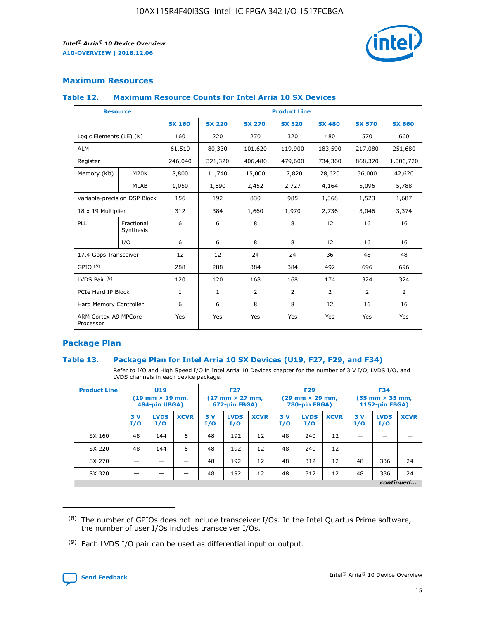

## **Maximum Resources**

#### **Table 12. Maximum Resource Counts for Intel Arria 10 SX Devices**

| <b>Resource</b>                   |                         | <b>Product Line</b> |               |                |                |                |                |                |  |  |  |
|-----------------------------------|-------------------------|---------------------|---------------|----------------|----------------|----------------|----------------|----------------|--|--|--|
|                                   |                         | <b>SX 160</b>       | <b>SX 220</b> | <b>SX 270</b>  | <b>SX 320</b>  | <b>SX 480</b>  | <b>SX 570</b>  | <b>SX 660</b>  |  |  |  |
| Logic Elements (LE) (K)           |                         | 160                 | 220           | 270            | 320            | 480            | 570            | 660            |  |  |  |
| <b>ALM</b>                        |                         | 61,510              | 80,330        | 101,620        | 119,900        | 183,590        | 217,080        | 251,680        |  |  |  |
| Register                          |                         | 246,040             | 321,320       | 406,480        | 479,600        | 734,360        | 868,320        | 1,006,720      |  |  |  |
| Memory (Kb)                       | M <sub>20</sub> K       | 8,800               | 11,740        | 15,000         | 17,820         | 28,620         | 36,000         | 42,620         |  |  |  |
|                                   | <b>MLAB</b>             | 1,050               | 1,690         | 2,452          | 2,727          | 4,164          | 5,096          | 5,788          |  |  |  |
| Variable-precision DSP Block      |                         | 156                 | 192           | 830            | 985            | 1,368          | 1,523          | 1,687          |  |  |  |
| 18 x 19 Multiplier                |                         | 312                 | 384           | 1,660          | 1,970          | 2,736          | 3,046          | 3,374          |  |  |  |
| PLL                               | Fractional<br>Synthesis | 6                   | 6             | 8              | 8              | 12             | 16             | 16             |  |  |  |
|                                   | I/O                     | 6                   | 6             | 8              | 8              | 12             | 16             | 16             |  |  |  |
| 17.4 Gbps Transceiver             |                         | 12                  | 12            | 24             | 24             | 36             | 48             | 48             |  |  |  |
| GPIO <sup>(8)</sup>               |                         | 288                 | 288           | 384            | 384            | 492            | 696            | 696            |  |  |  |
| LVDS Pair $(9)$                   |                         | 120                 | 120           | 168            | 168            | 174            | 324            | 324            |  |  |  |
| PCIe Hard IP Block                |                         | $\mathbf{1}$        | $\mathbf{1}$  | $\overline{2}$ | $\overline{2}$ | $\overline{2}$ | $\overline{2}$ | $\overline{2}$ |  |  |  |
| Hard Memory Controller            |                         | 6                   | 6             | 8              | 8              | 12             | 16             | 16             |  |  |  |
| ARM Cortex-A9 MPCore<br>Processor |                         | Yes                 | Yes           | Yes            | Yes            | Yes            | Yes            | <b>Yes</b>     |  |  |  |

## **Package Plan**

#### **Table 13. Package Plan for Intel Arria 10 SX Devices (U19, F27, F29, and F34)**

Refer to I/O and High Speed I/O in Intel Arria 10 Devices chapter for the number of 3 V I/O, LVDS I/O, and LVDS channels in each device package.

| <b>Product Line</b> | U19<br>$(19 \text{ mm} \times 19 \text{ mm})$<br>484-pin UBGA) |                    | <b>F27</b><br>$(27 \text{ mm} \times 27 \text{ mm})$<br>672-pin FBGA) |           | <b>F29</b><br>$(29 \text{ mm} \times 29 \text{ mm})$<br>780-pin FBGA) |             |            | <b>F34</b><br>$(35 \text{ mm} \times 35 \text{ mm})$<br><b>1152-pin FBGA)</b> |             |           |                    |             |
|---------------------|----------------------------------------------------------------|--------------------|-----------------------------------------------------------------------|-----------|-----------------------------------------------------------------------|-------------|------------|-------------------------------------------------------------------------------|-------------|-----------|--------------------|-------------|
|                     | 3V<br>I/O                                                      | <b>LVDS</b><br>I/O | <b>XCVR</b>                                                           | 3V<br>I/O | <b>LVDS</b><br>I/O                                                    | <b>XCVR</b> | 3 V<br>I/O | <b>LVDS</b><br>I/O                                                            | <b>XCVR</b> | 3V<br>I/O | <b>LVDS</b><br>I/O | <b>XCVR</b> |
| SX 160              | 48                                                             | 144                | 6                                                                     | 48        | 192                                                                   | 12          | 48         | 240                                                                           | 12          | –         |                    |             |
| SX 220              | 48                                                             | 144                | 6                                                                     | 48        | 192                                                                   | 12          | 48         | 240                                                                           | 12          |           |                    |             |
| SX 270              |                                                                |                    |                                                                       | 48        | 192                                                                   | 12          | 48         | 312                                                                           | 12          | 48        | 336                | 24          |
| SX 320              |                                                                |                    |                                                                       | 48        | 192                                                                   | 12          | 48         | 312                                                                           | 12          | 48        | 336                | 24          |
|                     | continued                                                      |                    |                                                                       |           |                                                                       |             |            |                                                                               |             |           |                    |             |

 $(8)$  The number of GPIOs does not include transceiver I/Os. In the Intel Quartus Prime software, the number of user I/Os includes transceiver I/Os.

 $(9)$  Each LVDS I/O pair can be used as differential input or output.

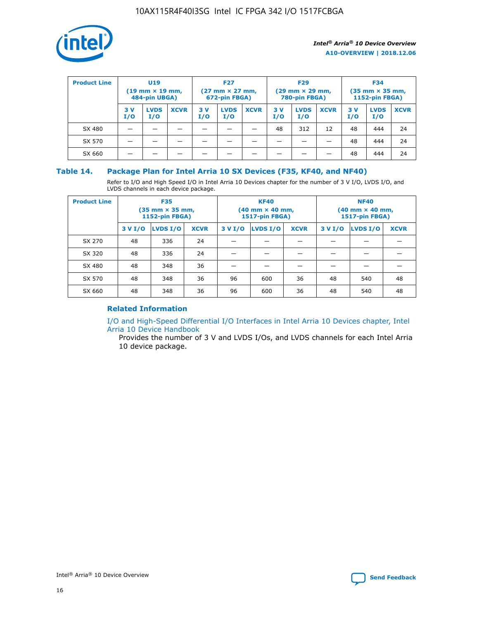

| <b>Product Line</b> | U <sub>19</sub><br>$(19 \text{ mm} \times 19 \text{ mm})$<br>484-pin UBGA) |                    | <b>F27</b><br>$(27 \text{ mm} \times 27 \text{ mm})$<br>672-pin FBGA) |           | <b>F29</b><br>$(29 \text{ mm} \times 29 \text{ mm})$<br>780-pin FBGA) |             |           | <b>F34</b><br>$(35 \text{ mm} \times 35 \text{ mm})$<br><b>1152-pin FBGA)</b> |             |           |                    |             |
|---------------------|----------------------------------------------------------------------------|--------------------|-----------------------------------------------------------------------|-----------|-----------------------------------------------------------------------|-------------|-----------|-------------------------------------------------------------------------------|-------------|-----------|--------------------|-------------|
|                     | 3 V<br>I/O                                                                 | <b>LVDS</b><br>I/O | <b>XCVR</b>                                                           | 3V<br>I/O | <b>LVDS</b><br>I/O                                                    | <b>XCVR</b> | 3V<br>I/O | <b>LVDS</b><br>I/O                                                            | <b>XCVR</b> | 3V<br>I/O | <b>LVDS</b><br>I/O | <b>XCVR</b> |
| SX 480              |                                                                            |                    |                                                                       |           |                                                                       |             | 48        | 312                                                                           | 12          | 48        | 444                | 24          |
| SX 570              |                                                                            |                    |                                                                       |           |                                                                       |             |           |                                                                               |             | 48        | 444                | 24          |
| SX 660              |                                                                            |                    |                                                                       |           |                                                                       |             |           |                                                                               |             | 48        | 444                | 24          |

## **Table 14. Package Plan for Intel Arria 10 SX Devices (F35, KF40, and NF40)**

Refer to I/O and High Speed I/O in Intel Arria 10 Devices chapter for the number of 3 V I/O, LVDS I/O, and LVDS channels in each device package.

| <b>Product Line</b> | <b>F35</b><br>$(35 \text{ mm} \times 35 \text{ mm})$<br><b>1152-pin FBGA)</b> |          |             |                                           | <b>KF40</b><br>(40 mm × 40 mm,<br>1517-pin FBGA) |    | <b>NF40</b><br>$(40 \text{ mm} \times 40 \text{ mm})$<br>1517-pin FBGA) |          |             |  |
|---------------------|-------------------------------------------------------------------------------|----------|-------------|-------------------------------------------|--------------------------------------------------|----|-------------------------------------------------------------------------|----------|-------------|--|
|                     | 3 V I/O                                                                       | LVDS I/O | <b>XCVR</b> | <b>LVDS I/O</b><br><b>XCVR</b><br>3 V I/O |                                                  |    | 3 V I/O                                                                 | LVDS I/O | <b>XCVR</b> |  |
| SX 270              | 48                                                                            | 336      | 24          |                                           |                                                  |    |                                                                         |          |             |  |
| SX 320              | 48                                                                            | 336      | 24          |                                           |                                                  |    |                                                                         |          |             |  |
| SX 480              | 48                                                                            | 348      | 36          |                                           |                                                  |    |                                                                         |          |             |  |
| SX 570              | 48                                                                            | 348      | 36          | 96                                        | 600                                              | 36 | 48                                                                      | 540      | 48          |  |
| SX 660              | 48                                                                            | 348      | 36          | 96                                        | 600                                              | 36 | 48                                                                      | 540      | 48          |  |

## **Related Information**

[I/O and High-Speed Differential I/O Interfaces in Intel Arria 10 Devices chapter, Intel](https://www.intel.com/content/www/us/en/programmable/documentation/sam1403482614086.html#sam1403482030321) [Arria 10 Device Handbook](https://www.intel.com/content/www/us/en/programmable/documentation/sam1403482614086.html#sam1403482030321)

Provides the number of 3 V and LVDS I/Os, and LVDS channels for each Intel Arria 10 device package.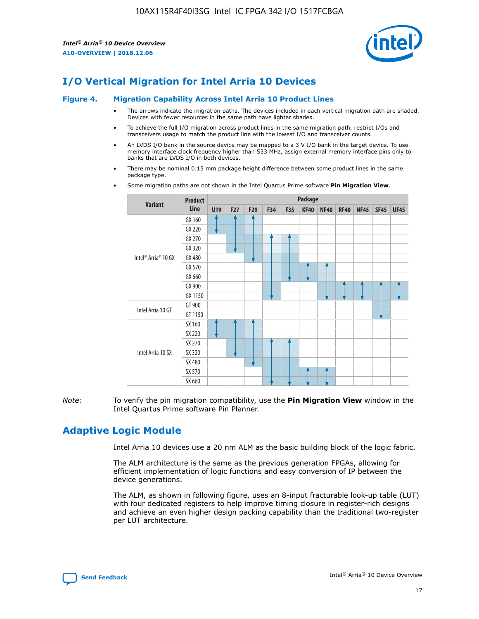

# **I/O Vertical Migration for Intel Arria 10 Devices**

#### **Figure 4. Migration Capability Across Intel Arria 10 Product Lines**

- The arrows indicate the migration paths. The devices included in each vertical migration path are shaded. Devices with fewer resources in the same path have lighter shades.
- To achieve the full I/O migration across product lines in the same migration path, restrict I/Os and transceivers usage to match the product line with the lowest I/O and transceiver counts.
- An LVDS I/O bank in the source device may be mapped to a 3 V I/O bank in the target device. To use memory interface clock frequency higher than 533 MHz, assign external memory interface pins only to banks that are LVDS I/O in both devices.
- There may be nominal 0.15 mm package height difference between some product lines in the same package type.
	- **Variant Product Line Package U19 F27 F29 F34 F35 KF40 NF40 RF40 NF45 SF45 UF45** Intel® Arria® 10 GX GX 160 GX 220 GX 270 GX 320 GX 480 GX 570 GX 660 GX 900 GX 1150 Intel Arria 10 GT GT 900 GT 1150 Intel Arria 10 SX SX 160 SX 220 SX 270 SX 320 SX 480 SX 570 SX 660
- Some migration paths are not shown in the Intel Quartus Prime software **Pin Migration View**.

*Note:* To verify the pin migration compatibility, use the **Pin Migration View** window in the Intel Quartus Prime software Pin Planner.

# **Adaptive Logic Module**

Intel Arria 10 devices use a 20 nm ALM as the basic building block of the logic fabric.

The ALM architecture is the same as the previous generation FPGAs, allowing for efficient implementation of logic functions and easy conversion of IP between the device generations.

The ALM, as shown in following figure, uses an 8-input fracturable look-up table (LUT) with four dedicated registers to help improve timing closure in register-rich designs and achieve an even higher design packing capability than the traditional two-register per LUT architecture.

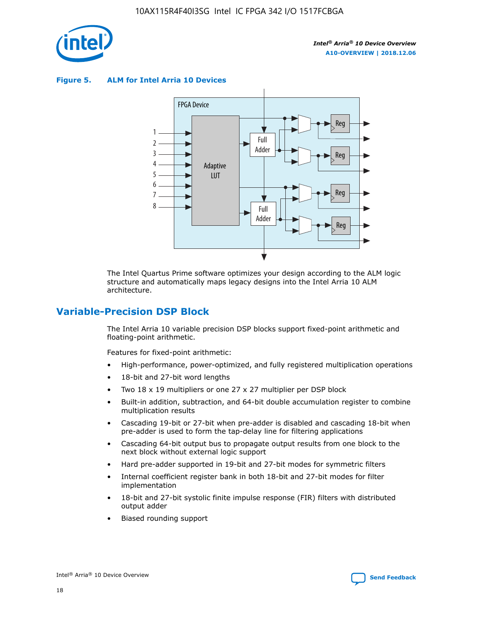

**Figure 5. ALM for Intel Arria 10 Devices**



The Intel Quartus Prime software optimizes your design according to the ALM logic structure and automatically maps legacy designs into the Intel Arria 10 ALM architecture.

## **Variable-Precision DSP Block**

The Intel Arria 10 variable precision DSP blocks support fixed-point arithmetic and floating-point arithmetic.

Features for fixed-point arithmetic:

- High-performance, power-optimized, and fully registered multiplication operations
- 18-bit and 27-bit word lengths
- Two 18 x 19 multipliers or one 27 x 27 multiplier per DSP block
- Built-in addition, subtraction, and 64-bit double accumulation register to combine multiplication results
- Cascading 19-bit or 27-bit when pre-adder is disabled and cascading 18-bit when pre-adder is used to form the tap-delay line for filtering applications
- Cascading 64-bit output bus to propagate output results from one block to the next block without external logic support
- Hard pre-adder supported in 19-bit and 27-bit modes for symmetric filters
- Internal coefficient register bank in both 18-bit and 27-bit modes for filter implementation
- 18-bit and 27-bit systolic finite impulse response (FIR) filters with distributed output adder
- Biased rounding support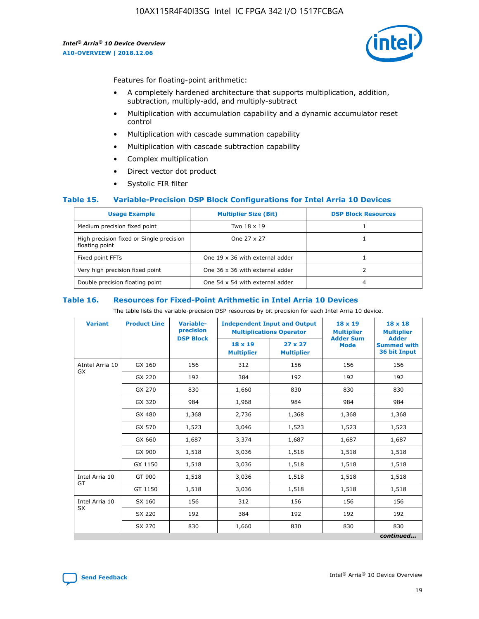

Features for floating-point arithmetic:

- A completely hardened architecture that supports multiplication, addition, subtraction, multiply-add, and multiply-subtract
- Multiplication with accumulation capability and a dynamic accumulator reset control
- Multiplication with cascade summation capability
- Multiplication with cascade subtraction capability
- Complex multiplication
- Direct vector dot product
- Systolic FIR filter

#### **Table 15. Variable-Precision DSP Block Configurations for Intel Arria 10 Devices**

| <b>Usage Example</b>                                       | <b>Multiplier Size (Bit)</b>    | <b>DSP Block Resources</b> |
|------------------------------------------------------------|---------------------------------|----------------------------|
| Medium precision fixed point                               | Two 18 x 19                     |                            |
| High precision fixed or Single precision<br>floating point | One 27 x 27                     |                            |
| Fixed point FFTs                                           | One 19 x 36 with external adder |                            |
| Very high precision fixed point                            | One 36 x 36 with external adder |                            |
| Double precision floating point                            | One 54 x 54 with external adder | 4                          |

#### **Table 16. Resources for Fixed-Point Arithmetic in Intel Arria 10 Devices**

The table lists the variable-precision DSP resources by bit precision for each Intel Arria 10 device.

| <b>Variant</b>  | <b>Product Line</b> | <b>Variable-</b><br>precision<br><b>DSP Block</b> | <b>Independent Input and Output</b><br><b>Multiplications Operator</b> |                                     | 18 x 19<br><b>Multiplier</b><br><b>Adder Sum</b> | $18 \times 18$<br><b>Multiplier</b><br><b>Adder</b> |
|-----------------|---------------------|---------------------------------------------------|------------------------------------------------------------------------|-------------------------------------|--------------------------------------------------|-----------------------------------------------------|
|                 |                     |                                                   | 18 x 19<br><b>Multiplier</b>                                           | $27 \times 27$<br><b>Multiplier</b> | <b>Mode</b>                                      | <b>Summed with</b><br>36 bit Input                  |
| AIntel Arria 10 | GX 160              | 156                                               | 312                                                                    | 156                                 | 156                                              | 156                                                 |
| GX              | GX 220              | 192                                               | 384                                                                    | 192                                 | 192                                              | 192                                                 |
|                 | GX 270              | 830                                               | 1,660                                                                  | 830                                 | 830                                              | 830                                                 |
|                 | GX 320              | 984                                               | 1,968                                                                  | 984                                 | 984                                              | 984                                                 |
|                 | GX 480              | 1,368                                             | 2,736                                                                  | 1,368                               | 1,368                                            | 1,368                                               |
|                 | GX 570              | 1,523                                             | 3,046                                                                  | 1,523                               | 1,523                                            | 1,523                                               |
|                 | GX 660              | 1,687                                             | 3,374                                                                  | 1,687                               | 1,687                                            | 1,687                                               |
|                 | GX 900              | 1,518                                             | 3,036                                                                  | 1,518                               | 1,518                                            | 1,518                                               |
|                 | GX 1150             | 1,518                                             | 3,036                                                                  | 1,518                               | 1,518                                            | 1,518                                               |
| Intel Arria 10  | GT 900              | 1,518                                             | 3,036                                                                  | 1,518                               | 1,518                                            | 1,518                                               |
| GT              | GT 1150             | 1,518                                             | 3,036                                                                  | 1,518                               | 1,518                                            | 1,518                                               |
| Intel Arria 10  | SX 160              | 156                                               | 312                                                                    | 156                                 | 156                                              | 156                                                 |
| <b>SX</b>       | SX 220              | 192                                               | 384                                                                    | 192                                 | 192                                              | 192                                                 |
|                 | SX 270              | 830                                               | 1,660                                                                  | 830                                 | 830                                              | 830                                                 |
|                 |                     |                                                   |                                                                        |                                     |                                                  | continued                                           |

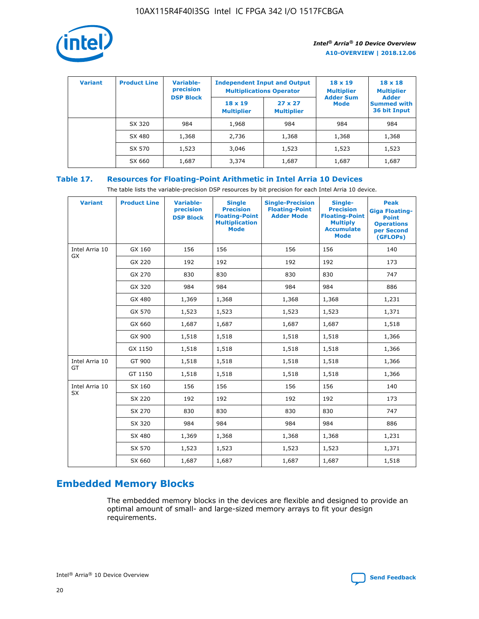

| <b>Variant</b> | <b>Product Line</b> | <b>Variable-</b><br>precision |                                     | <b>Independent Input and Output</b><br><b>Multiplications Operator</b> | $18 \times 19$<br><b>Multiplier</b> | $18 \times 18$<br><b>Multiplier</b>                |
|----------------|---------------------|-------------------------------|-------------------------------------|------------------------------------------------------------------------|-------------------------------------|----------------------------------------------------|
|                |                     | <b>DSP Block</b>              | $18 \times 19$<br><b>Multiplier</b> | $27 \times 27$<br><b>Multiplier</b>                                    | <b>Adder Sum</b><br><b>Mode</b>     | <b>Adder</b><br><b>Summed with</b><br>36 bit Input |
|                | SX 320              | 984                           | 1,968                               | 984                                                                    | 984                                 | 984                                                |
|                | SX 480              | 1,368                         | 2,736                               | 1,368                                                                  | 1,368                               | 1,368                                              |
|                | SX 570              | 1,523                         | 3,046                               | 1,523                                                                  | 1,523                               | 1,523                                              |
|                | SX 660              | 1,687                         | 3,374                               | 1,687                                                                  | 1,687                               | 1,687                                              |

## **Table 17. Resources for Floating-Point Arithmetic in Intel Arria 10 Devices**

The table lists the variable-precision DSP resources by bit precision for each Intel Arria 10 device.

| <b>Variant</b> | <b>Product Line</b> | <b>Variable-</b><br>precision<br><b>DSP Block</b> | <b>Single</b><br><b>Precision</b><br><b>Floating-Point</b><br><b>Multiplication</b><br><b>Mode</b> | <b>Single-Precision</b><br><b>Floating-Point</b><br><b>Adder Mode</b> | Single-<br><b>Precision</b><br><b>Floating-Point</b><br><b>Multiply</b><br><b>Accumulate</b><br><b>Mode</b> | <b>Peak</b><br><b>Giga Floating-</b><br><b>Point</b><br><b>Operations</b><br>per Second<br>(GFLOPs) |
|----------------|---------------------|---------------------------------------------------|----------------------------------------------------------------------------------------------------|-----------------------------------------------------------------------|-------------------------------------------------------------------------------------------------------------|-----------------------------------------------------------------------------------------------------|
| Intel Arria 10 | GX 160              | 156                                               | 156                                                                                                | 156                                                                   | 156                                                                                                         | 140                                                                                                 |
| <b>GX</b>      | GX 220              | 192                                               | 192                                                                                                | 192                                                                   | 192                                                                                                         | 173                                                                                                 |
|                | GX 270              | 830                                               | 830                                                                                                | 830                                                                   | 830                                                                                                         | 747                                                                                                 |
|                | GX 320              | 984                                               | 984                                                                                                | 984                                                                   | 984                                                                                                         | 886                                                                                                 |
|                | GX 480              | 1,369                                             | 1,368                                                                                              | 1,368                                                                 | 1,368                                                                                                       | 1,231                                                                                               |
|                | GX 570              | 1,523                                             | 1,523                                                                                              | 1,523                                                                 | 1,523                                                                                                       | 1,371                                                                                               |
|                | GX 660              | 1,687                                             | 1,687                                                                                              | 1,687                                                                 | 1,687                                                                                                       | 1,518                                                                                               |
|                | GX 900              | 1,518                                             | 1,518                                                                                              | 1,518                                                                 | 1,518                                                                                                       | 1,366                                                                                               |
|                | GX 1150             | 1,518                                             | 1,518                                                                                              | 1,518                                                                 | 1,518                                                                                                       | 1,366                                                                                               |
| Intel Arria 10 | GT 900              | 1,518                                             | 1,518                                                                                              | 1,518                                                                 | 1,518                                                                                                       | 1,366                                                                                               |
| GT             | GT 1150             | 1,518                                             | 1,518                                                                                              | 1,518                                                                 | 1,518                                                                                                       | 1,366                                                                                               |
| Intel Arria 10 | SX 160              | 156                                               | 156                                                                                                | 156                                                                   | 156                                                                                                         | 140                                                                                                 |
| SX             | SX 220              | 192                                               | 192                                                                                                | 192                                                                   | 192                                                                                                         | 173                                                                                                 |
|                | SX 270              | 830                                               | 830                                                                                                | 830                                                                   | 830                                                                                                         | 747                                                                                                 |
|                | SX 320              | 984                                               | 984                                                                                                | 984                                                                   | 984                                                                                                         | 886                                                                                                 |
|                | SX 480              | 1,369                                             | 1,368                                                                                              | 1,368                                                                 | 1,368                                                                                                       | 1,231                                                                                               |
|                | SX 570              | 1,523                                             | 1,523                                                                                              | 1,523                                                                 | 1,523                                                                                                       | 1,371                                                                                               |
|                | SX 660              | 1,687                                             | 1,687                                                                                              | 1,687                                                                 | 1,687                                                                                                       | 1,518                                                                                               |

# **Embedded Memory Blocks**

The embedded memory blocks in the devices are flexible and designed to provide an optimal amount of small- and large-sized memory arrays to fit your design requirements.

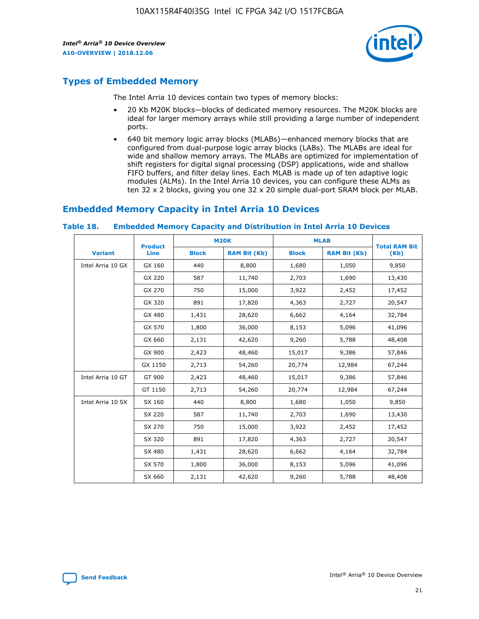

## **Types of Embedded Memory**

The Intel Arria 10 devices contain two types of memory blocks:

- 20 Kb M20K blocks—blocks of dedicated memory resources. The M20K blocks are ideal for larger memory arrays while still providing a large number of independent ports.
- 640 bit memory logic array blocks (MLABs)—enhanced memory blocks that are configured from dual-purpose logic array blocks (LABs). The MLABs are ideal for wide and shallow memory arrays. The MLABs are optimized for implementation of shift registers for digital signal processing (DSP) applications, wide and shallow FIFO buffers, and filter delay lines. Each MLAB is made up of ten adaptive logic modules (ALMs). In the Intel Arria 10 devices, you can configure these ALMs as ten 32 x 2 blocks, giving you one 32 x 20 simple dual-port SRAM block per MLAB.

## **Embedded Memory Capacity in Intel Arria 10 Devices**

|                   | <b>Product</b> |              | <b>M20K</b>         | <b>MLAB</b>  |                     | <b>Total RAM Bit</b> |
|-------------------|----------------|--------------|---------------------|--------------|---------------------|----------------------|
| <b>Variant</b>    | Line           | <b>Block</b> | <b>RAM Bit (Kb)</b> | <b>Block</b> | <b>RAM Bit (Kb)</b> | (Kb)                 |
| Intel Arria 10 GX | GX 160         | 440          | 8,800               | 1,680        | 1,050               | 9,850                |
|                   | GX 220         | 587          | 11,740              | 2,703        | 1,690               | 13,430               |
|                   | GX 270         | 750          | 15,000              | 3,922        | 2,452               | 17,452               |
|                   | GX 320         | 891          | 17,820              | 4,363        | 2,727               | 20,547               |
|                   | GX 480         | 1,431        | 28,620              | 6,662        | 4,164               | 32,784               |
|                   | GX 570         | 1,800        | 36,000              | 8,153        | 5,096               | 41,096               |
|                   | GX 660         | 2,131        | 42,620              | 9,260        | 5,788               | 48,408               |
|                   | GX 900         | 2,423        | 48,460              | 15,017       | 9,386               | 57,846               |
|                   | GX 1150        | 2,713        | 54,260              | 20,774       | 12,984              | 67,244               |
| Intel Arria 10 GT | GT 900         | 2,423        | 48,460              | 15,017       | 9,386               | 57,846               |
|                   | GT 1150        | 2,713        | 54,260              | 20,774       | 12,984              | 67,244               |
| Intel Arria 10 SX | SX 160         | 440          | 8,800               | 1,680        | 1,050               | 9,850                |
|                   | SX 220         | 587          | 11,740              | 2,703        | 1,690               | 13,430               |
|                   | SX 270         | 750          | 15,000              | 3,922        | 2,452               | 17,452               |
|                   | SX 320         | 891          | 17,820              | 4,363        | 2,727               | 20,547               |
|                   | SX 480         | 1,431        | 28,620              | 6,662        | 4,164               | 32,784               |
|                   | SX 570         | 1,800        | 36,000              | 8,153        | 5,096               | 41,096               |
|                   | SX 660         | 2,131        | 42,620              | 9,260        | 5,788               | 48,408               |

#### **Table 18. Embedded Memory Capacity and Distribution in Intel Arria 10 Devices**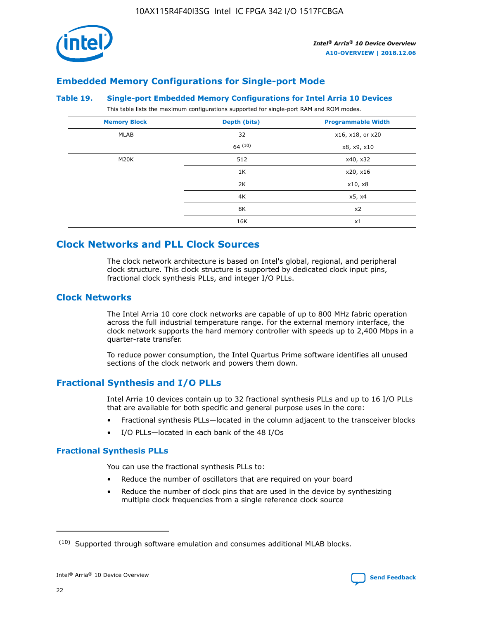

## **Embedded Memory Configurations for Single-port Mode**

#### **Table 19. Single-port Embedded Memory Configurations for Intel Arria 10 Devices**

This table lists the maximum configurations supported for single-port RAM and ROM modes.

| <b>Memory Block</b> | Depth (bits) | <b>Programmable Width</b> |
|---------------------|--------------|---------------------------|
| MLAB                | 32           | x16, x18, or x20          |
|                     | 64(10)       | x8, x9, x10               |
| M20K                | 512          | x40, x32                  |
|                     | 1K           | x20, x16                  |
|                     | 2K           | x10, x8                   |
|                     | 4K           | x5, x4                    |
|                     | 8K           | x2                        |
|                     | 16K          | x1                        |

# **Clock Networks and PLL Clock Sources**

The clock network architecture is based on Intel's global, regional, and peripheral clock structure. This clock structure is supported by dedicated clock input pins, fractional clock synthesis PLLs, and integer I/O PLLs.

## **Clock Networks**

The Intel Arria 10 core clock networks are capable of up to 800 MHz fabric operation across the full industrial temperature range. For the external memory interface, the clock network supports the hard memory controller with speeds up to 2,400 Mbps in a quarter-rate transfer.

To reduce power consumption, the Intel Quartus Prime software identifies all unused sections of the clock network and powers them down.

## **Fractional Synthesis and I/O PLLs**

Intel Arria 10 devices contain up to 32 fractional synthesis PLLs and up to 16 I/O PLLs that are available for both specific and general purpose uses in the core:

- Fractional synthesis PLLs—located in the column adjacent to the transceiver blocks
- I/O PLLs—located in each bank of the 48 I/Os

## **Fractional Synthesis PLLs**

You can use the fractional synthesis PLLs to:

- Reduce the number of oscillators that are required on your board
- Reduce the number of clock pins that are used in the device by synthesizing multiple clock frequencies from a single reference clock source

<sup>(10)</sup> Supported through software emulation and consumes additional MLAB blocks.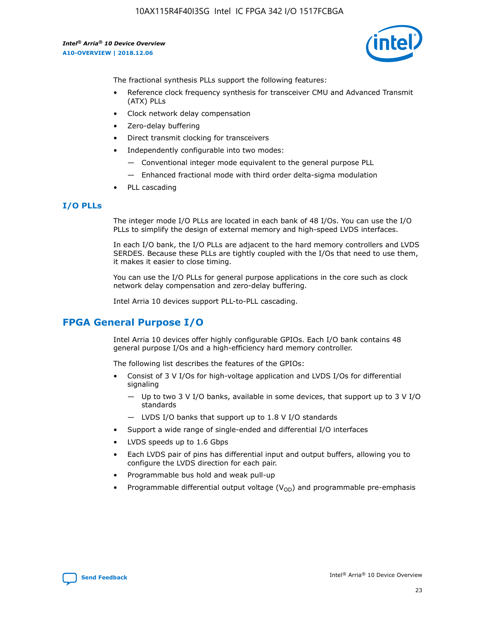

The fractional synthesis PLLs support the following features:

- Reference clock frequency synthesis for transceiver CMU and Advanced Transmit (ATX) PLLs
- Clock network delay compensation
- Zero-delay buffering
- Direct transmit clocking for transceivers
- Independently configurable into two modes:
	- Conventional integer mode equivalent to the general purpose PLL
	- Enhanced fractional mode with third order delta-sigma modulation
- PLL cascading

#### **I/O PLLs**

The integer mode I/O PLLs are located in each bank of 48 I/Os. You can use the I/O PLLs to simplify the design of external memory and high-speed LVDS interfaces.

In each I/O bank, the I/O PLLs are adjacent to the hard memory controllers and LVDS SERDES. Because these PLLs are tightly coupled with the I/Os that need to use them, it makes it easier to close timing.

You can use the I/O PLLs for general purpose applications in the core such as clock network delay compensation and zero-delay buffering.

Intel Arria 10 devices support PLL-to-PLL cascading.

## **FPGA General Purpose I/O**

Intel Arria 10 devices offer highly configurable GPIOs. Each I/O bank contains 48 general purpose I/Os and a high-efficiency hard memory controller.

The following list describes the features of the GPIOs:

- Consist of 3 V I/Os for high-voltage application and LVDS I/Os for differential signaling
	- Up to two 3 V I/O banks, available in some devices, that support up to 3 V I/O standards
	- LVDS I/O banks that support up to 1.8 V I/O standards
- Support a wide range of single-ended and differential I/O interfaces
- LVDS speeds up to 1.6 Gbps
- Each LVDS pair of pins has differential input and output buffers, allowing you to configure the LVDS direction for each pair.
- Programmable bus hold and weak pull-up
- Programmable differential output voltage  $(V_{OD})$  and programmable pre-emphasis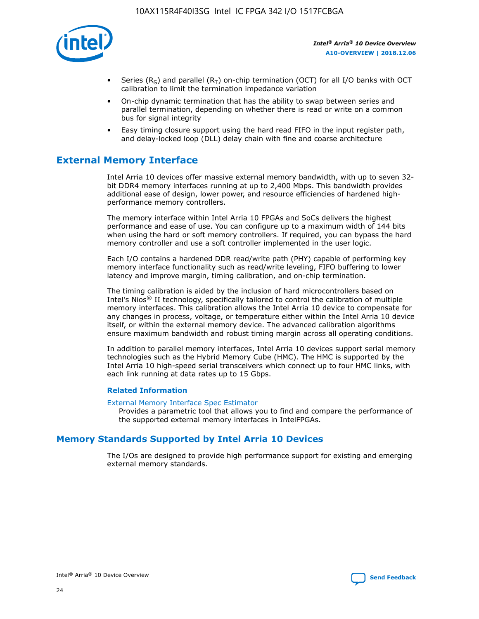

- Series (R<sub>S</sub>) and parallel (R<sub>T</sub>) on-chip termination (OCT) for all I/O banks with OCT calibration to limit the termination impedance variation
- On-chip dynamic termination that has the ability to swap between series and parallel termination, depending on whether there is read or write on a common bus for signal integrity
- Easy timing closure support using the hard read FIFO in the input register path, and delay-locked loop (DLL) delay chain with fine and coarse architecture

# **External Memory Interface**

Intel Arria 10 devices offer massive external memory bandwidth, with up to seven 32 bit DDR4 memory interfaces running at up to 2,400 Mbps. This bandwidth provides additional ease of design, lower power, and resource efficiencies of hardened highperformance memory controllers.

The memory interface within Intel Arria 10 FPGAs and SoCs delivers the highest performance and ease of use. You can configure up to a maximum width of 144 bits when using the hard or soft memory controllers. If required, you can bypass the hard memory controller and use a soft controller implemented in the user logic.

Each I/O contains a hardened DDR read/write path (PHY) capable of performing key memory interface functionality such as read/write leveling, FIFO buffering to lower latency and improve margin, timing calibration, and on-chip termination.

The timing calibration is aided by the inclusion of hard microcontrollers based on Intel's Nios® II technology, specifically tailored to control the calibration of multiple memory interfaces. This calibration allows the Intel Arria 10 device to compensate for any changes in process, voltage, or temperature either within the Intel Arria 10 device itself, or within the external memory device. The advanced calibration algorithms ensure maximum bandwidth and robust timing margin across all operating conditions.

In addition to parallel memory interfaces, Intel Arria 10 devices support serial memory technologies such as the Hybrid Memory Cube (HMC). The HMC is supported by the Intel Arria 10 high-speed serial transceivers which connect up to four HMC links, with each link running at data rates up to 15 Gbps.

#### **Related Information**

#### [External Memory Interface Spec Estimator](http://www.altera.com/technology/memory/estimator/mem-emif-index.html)

Provides a parametric tool that allows you to find and compare the performance of the supported external memory interfaces in IntelFPGAs.

## **Memory Standards Supported by Intel Arria 10 Devices**

The I/Os are designed to provide high performance support for existing and emerging external memory standards.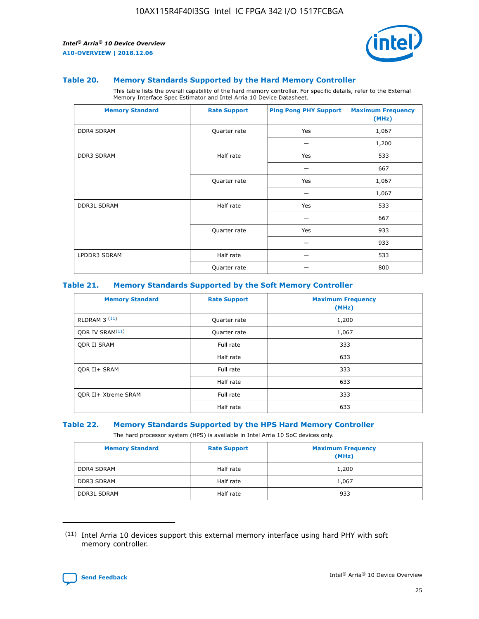

#### **Table 20. Memory Standards Supported by the Hard Memory Controller**

This table lists the overall capability of the hard memory controller. For specific details, refer to the External Memory Interface Spec Estimator and Intel Arria 10 Device Datasheet.

| <b>Memory Standard</b> | <b>Rate Support</b> | <b>Ping Pong PHY Support</b> | <b>Maximum Frequency</b><br>(MHz) |
|------------------------|---------------------|------------------------------|-----------------------------------|
| <b>DDR4 SDRAM</b>      | Quarter rate        | Yes                          | 1,067                             |
|                        |                     |                              | 1,200                             |
| DDR3 SDRAM             | Half rate           | Yes                          | 533                               |
|                        |                     |                              | 667                               |
|                        | Quarter rate        | Yes                          | 1,067                             |
|                        |                     |                              | 1,067                             |
| <b>DDR3L SDRAM</b>     | Half rate           | Yes                          | 533                               |
|                        |                     |                              | 667                               |
|                        | Quarter rate        | Yes                          | 933                               |
|                        |                     |                              | 933                               |
| LPDDR3 SDRAM           | Half rate           |                              | 533                               |
|                        | Quarter rate        |                              | 800                               |

#### **Table 21. Memory Standards Supported by the Soft Memory Controller**

| <b>Memory Standard</b>      | <b>Rate Support</b> | <b>Maximum Frequency</b><br>(MHz) |
|-----------------------------|---------------------|-----------------------------------|
| <b>RLDRAM 3 (11)</b>        | Quarter rate        | 1,200                             |
| ODR IV SRAM <sup>(11)</sup> | Quarter rate        | 1,067                             |
| <b>ODR II SRAM</b>          | Full rate           | 333                               |
|                             | Half rate           | 633                               |
| <b>ODR II+ SRAM</b>         | Full rate           | 333                               |
|                             | Half rate           | 633                               |
| <b>ODR II+ Xtreme SRAM</b>  | Full rate           | 333                               |
|                             | Half rate           | 633                               |

#### **Table 22. Memory Standards Supported by the HPS Hard Memory Controller**

The hard processor system (HPS) is available in Intel Arria 10 SoC devices only.

| <b>Memory Standard</b> | <b>Rate Support</b> | <b>Maximum Frequency</b><br>(MHz) |
|------------------------|---------------------|-----------------------------------|
| <b>DDR4 SDRAM</b>      | Half rate           | 1,200                             |
| <b>DDR3 SDRAM</b>      | Half rate           | 1,067                             |
| <b>DDR3L SDRAM</b>     | Half rate           | 933                               |

<sup>(11)</sup> Intel Arria 10 devices support this external memory interface using hard PHY with soft memory controller.

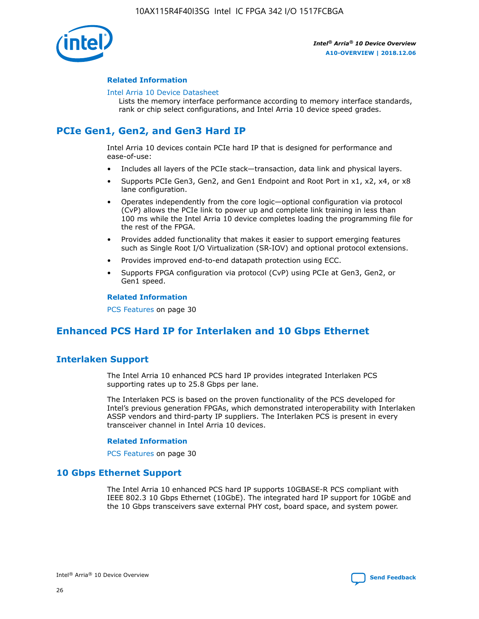

#### **Related Information**

#### [Intel Arria 10 Device Datasheet](https://www.intel.com/content/www/us/en/programmable/documentation/mcn1413182292568.html#mcn1413182153340)

Lists the memory interface performance according to memory interface standards, rank or chip select configurations, and Intel Arria 10 device speed grades.

# **PCIe Gen1, Gen2, and Gen3 Hard IP**

Intel Arria 10 devices contain PCIe hard IP that is designed for performance and ease-of-use:

- Includes all layers of the PCIe stack—transaction, data link and physical layers.
- Supports PCIe Gen3, Gen2, and Gen1 Endpoint and Root Port in x1, x2, x4, or x8 lane configuration.
- Operates independently from the core logic—optional configuration via protocol (CvP) allows the PCIe link to power up and complete link training in less than 100 ms while the Intel Arria 10 device completes loading the programming file for the rest of the FPGA.
- Provides added functionality that makes it easier to support emerging features such as Single Root I/O Virtualization (SR-IOV) and optional protocol extensions.
- Provides improved end-to-end datapath protection using ECC.
- Supports FPGA configuration via protocol (CvP) using PCIe at Gen3, Gen2, or Gen1 speed.

#### **Related Information**

PCS Features on page 30

# **Enhanced PCS Hard IP for Interlaken and 10 Gbps Ethernet**

## **Interlaken Support**

The Intel Arria 10 enhanced PCS hard IP provides integrated Interlaken PCS supporting rates up to 25.8 Gbps per lane.

The Interlaken PCS is based on the proven functionality of the PCS developed for Intel's previous generation FPGAs, which demonstrated interoperability with Interlaken ASSP vendors and third-party IP suppliers. The Interlaken PCS is present in every transceiver channel in Intel Arria 10 devices.

#### **Related Information**

PCS Features on page 30

## **10 Gbps Ethernet Support**

The Intel Arria 10 enhanced PCS hard IP supports 10GBASE-R PCS compliant with IEEE 802.3 10 Gbps Ethernet (10GbE). The integrated hard IP support for 10GbE and the 10 Gbps transceivers save external PHY cost, board space, and system power.

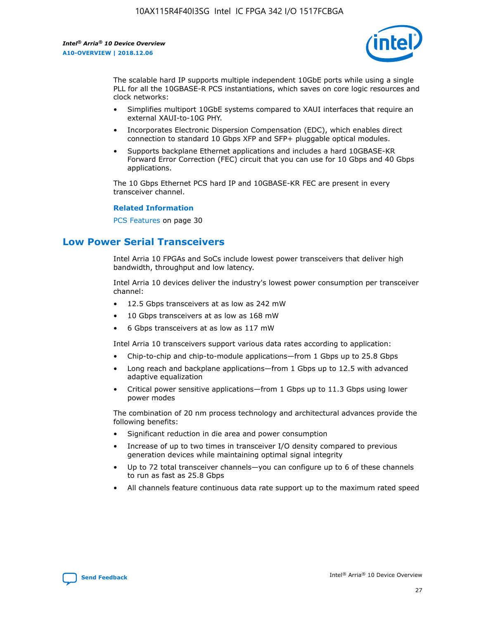

The scalable hard IP supports multiple independent 10GbE ports while using a single PLL for all the 10GBASE-R PCS instantiations, which saves on core logic resources and clock networks:

- Simplifies multiport 10GbE systems compared to XAUI interfaces that require an external XAUI-to-10G PHY.
- Incorporates Electronic Dispersion Compensation (EDC), which enables direct connection to standard 10 Gbps XFP and SFP+ pluggable optical modules.
- Supports backplane Ethernet applications and includes a hard 10GBASE-KR Forward Error Correction (FEC) circuit that you can use for 10 Gbps and 40 Gbps applications.

The 10 Gbps Ethernet PCS hard IP and 10GBASE-KR FEC are present in every transceiver channel.

#### **Related Information**

PCS Features on page 30

# **Low Power Serial Transceivers**

Intel Arria 10 FPGAs and SoCs include lowest power transceivers that deliver high bandwidth, throughput and low latency.

Intel Arria 10 devices deliver the industry's lowest power consumption per transceiver channel:

- 12.5 Gbps transceivers at as low as 242 mW
- 10 Gbps transceivers at as low as 168 mW
- 6 Gbps transceivers at as low as 117 mW

Intel Arria 10 transceivers support various data rates according to application:

- Chip-to-chip and chip-to-module applications—from 1 Gbps up to 25.8 Gbps
- Long reach and backplane applications—from 1 Gbps up to 12.5 with advanced adaptive equalization
- Critical power sensitive applications—from 1 Gbps up to 11.3 Gbps using lower power modes

The combination of 20 nm process technology and architectural advances provide the following benefits:

- Significant reduction in die area and power consumption
- Increase of up to two times in transceiver I/O density compared to previous generation devices while maintaining optimal signal integrity
- Up to 72 total transceiver channels—you can configure up to 6 of these channels to run as fast as 25.8 Gbps
- All channels feature continuous data rate support up to the maximum rated speed

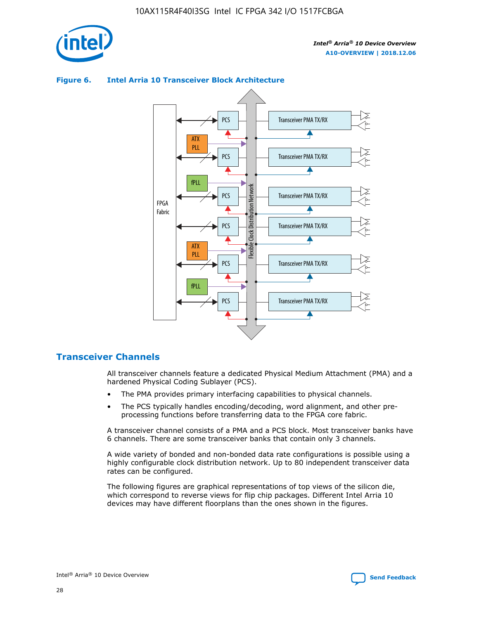



## **Figure 6. Intel Arria 10 Transceiver Block Architecture**

## **Transceiver Channels**

All transceiver channels feature a dedicated Physical Medium Attachment (PMA) and a hardened Physical Coding Sublayer (PCS).

- The PMA provides primary interfacing capabilities to physical channels.
- The PCS typically handles encoding/decoding, word alignment, and other preprocessing functions before transferring data to the FPGA core fabric.

A transceiver channel consists of a PMA and a PCS block. Most transceiver banks have 6 channels. There are some transceiver banks that contain only 3 channels.

A wide variety of bonded and non-bonded data rate configurations is possible using a highly configurable clock distribution network. Up to 80 independent transceiver data rates can be configured.

The following figures are graphical representations of top views of the silicon die, which correspond to reverse views for flip chip packages. Different Intel Arria 10 devices may have different floorplans than the ones shown in the figures.

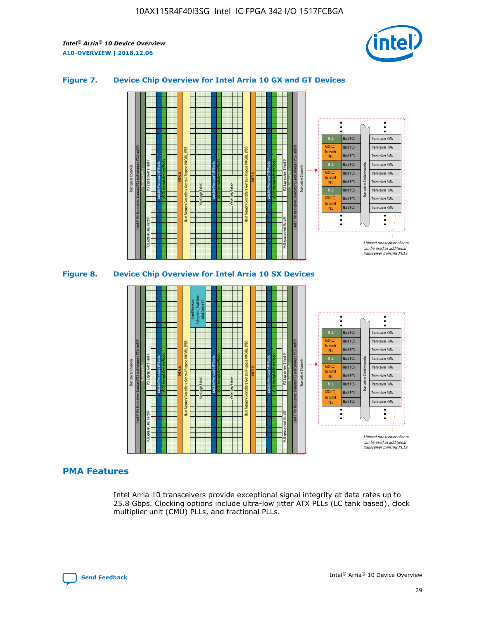

## **Figure 7. Device Chip Overview for Intel Arria 10 GX and GT Devices**





## **PMA Features**

Intel Arria 10 transceivers provide exceptional signal integrity at data rates up to 25.8 Gbps. Clocking options include ultra-low jitter ATX PLLs (LC tank based), clock multiplier unit (CMU) PLLs, and fractional PLLs.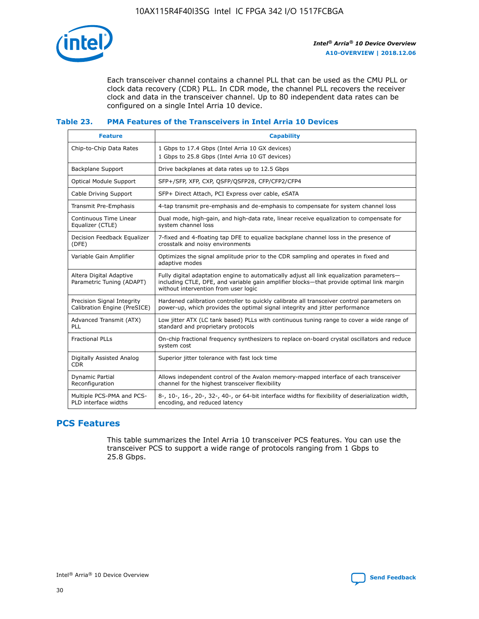

Each transceiver channel contains a channel PLL that can be used as the CMU PLL or clock data recovery (CDR) PLL. In CDR mode, the channel PLL recovers the receiver clock and data in the transceiver channel. Up to 80 independent data rates can be configured on a single Intel Arria 10 device.

## **Table 23. PMA Features of the Transceivers in Intel Arria 10 Devices**

| <b>Feature</b>                                             | <b>Capability</b>                                                                                                                                                                                                             |
|------------------------------------------------------------|-------------------------------------------------------------------------------------------------------------------------------------------------------------------------------------------------------------------------------|
| Chip-to-Chip Data Rates                                    | 1 Gbps to 17.4 Gbps (Intel Arria 10 GX devices)<br>1 Gbps to 25.8 Gbps (Intel Arria 10 GT devices)                                                                                                                            |
| <b>Backplane Support</b>                                   | Drive backplanes at data rates up to 12.5 Gbps                                                                                                                                                                                |
| <b>Optical Module Support</b>                              | SFP+/SFP, XFP, CXP, QSFP/QSFP28, CFP/CFP2/CFP4                                                                                                                                                                                |
| Cable Driving Support                                      | SFP+ Direct Attach, PCI Express over cable, eSATA                                                                                                                                                                             |
| Transmit Pre-Emphasis                                      | 4-tap transmit pre-emphasis and de-emphasis to compensate for system channel loss                                                                                                                                             |
| Continuous Time Linear<br>Equalizer (CTLE)                 | Dual mode, high-gain, and high-data rate, linear receive equalization to compensate for<br>system channel loss                                                                                                                |
| Decision Feedback Equalizer<br>(DFE)                       | 7-fixed and 4-floating tap DFE to equalize backplane channel loss in the presence of<br>crosstalk and noisy environments                                                                                                      |
| Variable Gain Amplifier                                    | Optimizes the signal amplitude prior to the CDR sampling and operates in fixed and<br>adaptive modes                                                                                                                          |
| Altera Digital Adaptive<br>Parametric Tuning (ADAPT)       | Fully digital adaptation engine to automatically adjust all link equalization parameters-<br>including CTLE, DFE, and variable gain amplifier blocks—that provide optimal link margin<br>without intervention from user logic |
| Precision Signal Integrity<br>Calibration Engine (PreSICE) | Hardened calibration controller to quickly calibrate all transceiver control parameters on<br>power-up, which provides the optimal signal integrity and jitter performance                                                    |
| Advanced Transmit (ATX)<br>PLL                             | Low jitter ATX (LC tank based) PLLs with continuous tuning range to cover a wide range of<br>standard and proprietary protocols                                                                                               |
| <b>Fractional PLLs</b>                                     | On-chip fractional frequency synthesizers to replace on-board crystal oscillators and reduce<br>system cost                                                                                                                   |
| Digitally Assisted Analog<br><b>CDR</b>                    | Superior jitter tolerance with fast lock time                                                                                                                                                                                 |
| <b>Dynamic Partial</b><br>Reconfiguration                  | Allows independent control of the Avalon memory-mapped interface of each transceiver<br>channel for the highest transceiver flexibility                                                                                       |
| Multiple PCS-PMA and PCS-<br>PLD interface widths          | 8-, 10-, 16-, 20-, 32-, 40-, or 64-bit interface widths for flexibility of deserialization width,<br>encoding, and reduced latency                                                                                            |

## **PCS Features**

This table summarizes the Intel Arria 10 transceiver PCS features. You can use the transceiver PCS to support a wide range of protocols ranging from 1 Gbps to 25.8 Gbps.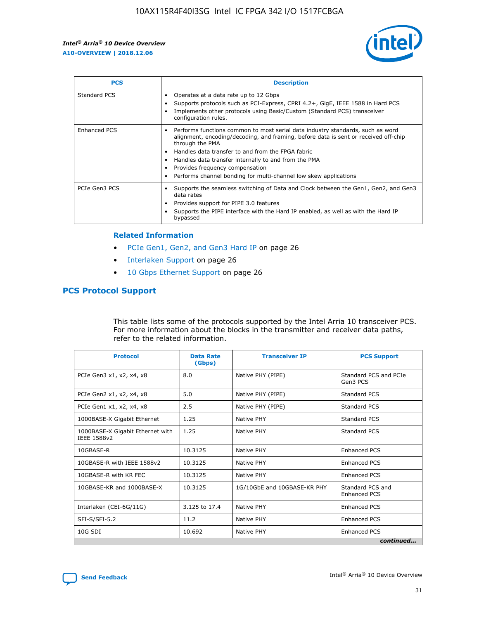

| <b>PCS</b>    | <b>Description</b>                                                                                                                                                                                                                                                                                                                                                                                             |
|---------------|----------------------------------------------------------------------------------------------------------------------------------------------------------------------------------------------------------------------------------------------------------------------------------------------------------------------------------------------------------------------------------------------------------------|
| Standard PCS  | Operates at a data rate up to 12 Gbps<br>Supports protocols such as PCI-Express, CPRI 4.2+, GigE, IEEE 1588 in Hard PCS<br>Implements other protocols using Basic/Custom (Standard PCS) transceiver<br>configuration rules.                                                                                                                                                                                    |
| Enhanced PCS  | Performs functions common to most serial data industry standards, such as word<br>alignment, encoding/decoding, and framing, before data is sent or received off-chip<br>through the PMA<br>• Handles data transfer to and from the FPGA fabric<br>Handles data transfer internally to and from the PMA<br>Provides frequency compensation<br>Performs channel bonding for multi-channel low skew applications |
| PCIe Gen3 PCS | Supports the seamless switching of Data and Clock between the Gen1, Gen2, and Gen3<br>data rates<br>Provides support for PIPE 3.0 features<br>Supports the PIPE interface with the Hard IP enabled, as well as with the Hard IP<br>bypassed                                                                                                                                                                    |

#### **Related Information**

- PCIe Gen1, Gen2, and Gen3 Hard IP on page 26
- Interlaken Support on page 26
- 10 Gbps Ethernet Support on page 26

## **PCS Protocol Support**

This table lists some of the protocols supported by the Intel Arria 10 transceiver PCS. For more information about the blocks in the transmitter and receiver data paths, refer to the related information.

| <b>Protocol</b>                                 | <b>Data Rate</b><br>(Gbps) | <b>Transceiver IP</b>       | <b>PCS Support</b>                      |
|-------------------------------------------------|----------------------------|-----------------------------|-----------------------------------------|
| PCIe Gen3 x1, x2, x4, x8                        | 8.0                        | Native PHY (PIPE)           | Standard PCS and PCIe<br>Gen3 PCS       |
| PCIe Gen2 x1, x2, x4, x8                        | 5.0                        | Native PHY (PIPE)           | <b>Standard PCS</b>                     |
| PCIe Gen1 x1, x2, x4, x8                        | 2.5                        | Native PHY (PIPE)           | Standard PCS                            |
| 1000BASE-X Gigabit Ethernet                     | 1.25                       | Native PHY                  | <b>Standard PCS</b>                     |
| 1000BASE-X Gigabit Ethernet with<br>IEEE 1588v2 | 1.25                       | Native PHY                  | Standard PCS                            |
| 10GBASE-R                                       | 10.3125                    | Native PHY                  | <b>Enhanced PCS</b>                     |
| 10GBASE-R with IEEE 1588v2                      | 10.3125                    | Native PHY                  | <b>Enhanced PCS</b>                     |
| 10GBASE-R with KR FEC                           | 10.3125                    | Native PHY                  | <b>Enhanced PCS</b>                     |
| 10GBASE-KR and 1000BASE-X                       | 10.3125                    | 1G/10GbE and 10GBASE-KR PHY | Standard PCS and<br><b>Enhanced PCS</b> |
| Interlaken (CEI-6G/11G)                         | 3.125 to 17.4              | Native PHY                  | <b>Enhanced PCS</b>                     |
| SFI-S/SFI-5.2                                   | 11.2                       | Native PHY                  | <b>Enhanced PCS</b>                     |
| $10G$ SDI                                       | 10.692                     | Native PHY                  | <b>Enhanced PCS</b>                     |
|                                                 |                            |                             | continued                               |

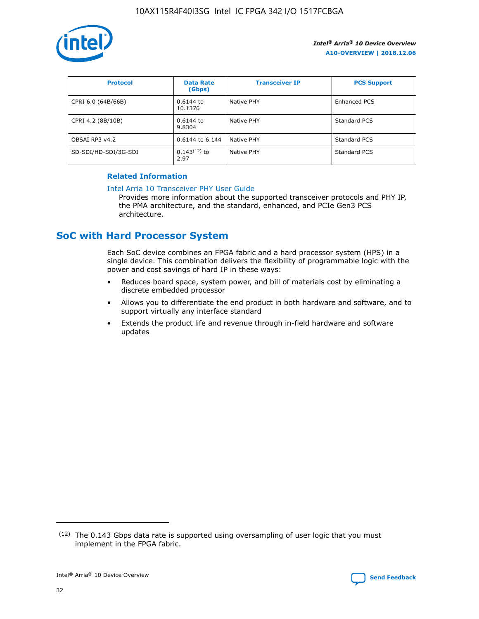

| <b>Protocol</b>      | <b>Data Rate</b><br>(Gbps) | <b>Transceiver IP</b> | <b>PCS Support</b> |
|----------------------|----------------------------|-----------------------|--------------------|
| CPRI 6.0 (64B/66B)   | 0.6144 to<br>10.1376       | Native PHY            | Enhanced PCS       |
| CPRI 4.2 (8B/10B)    | 0.6144 to<br>9.8304        | Native PHY            | Standard PCS       |
| OBSAI RP3 v4.2       | 0.6144 to 6.144            | Native PHY            | Standard PCS       |
| SD-SDI/HD-SDI/3G-SDI | $0.143(12)$ to<br>2.97     | Native PHY            | Standard PCS       |

## **Related Information**

#### [Intel Arria 10 Transceiver PHY User Guide](https://www.intel.com/content/www/us/en/programmable/documentation/nik1398707230472.html#nik1398707091164)

Provides more information about the supported transceiver protocols and PHY IP, the PMA architecture, and the standard, enhanced, and PCIe Gen3 PCS architecture.

# **SoC with Hard Processor System**

Each SoC device combines an FPGA fabric and a hard processor system (HPS) in a single device. This combination delivers the flexibility of programmable logic with the power and cost savings of hard IP in these ways:

- Reduces board space, system power, and bill of materials cost by eliminating a discrete embedded processor
- Allows you to differentiate the end product in both hardware and software, and to support virtually any interface standard
- Extends the product life and revenue through in-field hardware and software updates

 $(12)$  The 0.143 Gbps data rate is supported using oversampling of user logic that you must implement in the FPGA fabric.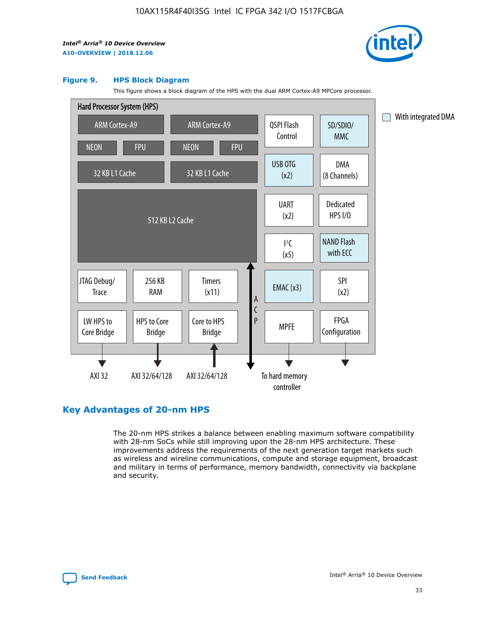

#### **Figure 9. HPS Block Diagram**

This figure shows a block diagram of the HPS with the dual ARM Cortex-A9 MPCore processor.



## **Key Advantages of 20-nm HPS**

The 20-nm HPS strikes a balance between enabling maximum software compatibility with 28-nm SoCs while still improving upon the 28-nm HPS architecture. These improvements address the requirements of the next generation target markets such as wireless and wireline communications, compute and storage equipment, broadcast and military in terms of performance, memory bandwidth, connectivity via backplane and security.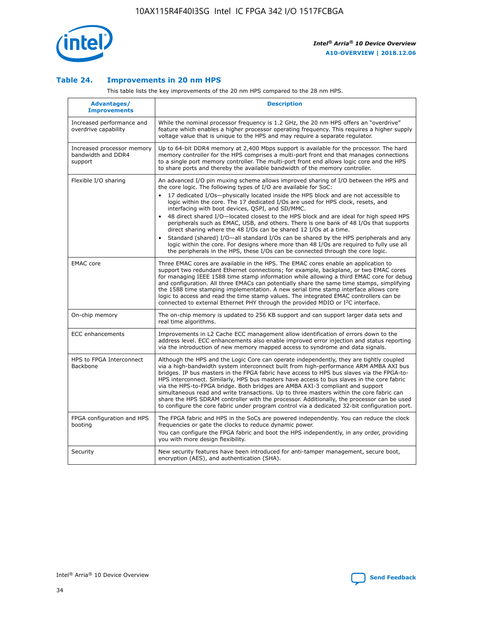

## **Table 24. Improvements in 20 nm HPS**

This table lists the key improvements of the 20 nm HPS compared to the 28 nm HPS.

| <b>Advantages/</b><br><b>Improvements</b>                   | <b>Description</b>                                                                                                                                                                                                                                                                                                                                                                                                                                                                                                                                                                                                                                                                                                                                                                                                                                                                                                      |
|-------------------------------------------------------------|-------------------------------------------------------------------------------------------------------------------------------------------------------------------------------------------------------------------------------------------------------------------------------------------------------------------------------------------------------------------------------------------------------------------------------------------------------------------------------------------------------------------------------------------------------------------------------------------------------------------------------------------------------------------------------------------------------------------------------------------------------------------------------------------------------------------------------------------------------------------------------------------------------------------------|
| Increased performance and<br>overdrive capability           | While the nominal processor frequency is 1.2 GHz, the 20 nm HPS offers an "overdrive"<br>feature which enables a higher processor operating frequency. This requires a higher supply<br>voltage value that is unique to the HPS and may require a separate regulator.                                                                                                                                                                                                                                                                                                                                                                                                                                                                                                                                                                                                                                                   |
| Increased processor memory<br>bandwidth and DDR4<br>support | Up to 64-bit DDR4 memory at 2,400 Mbps support is available for the processor. The hard<br>memory controller for the HPS comprises a multi-port front end that manages connections<br>to a single port memory controller. The multi-port front end allows logic core and the HPS<br>to share ports and thereby the available bandwidth of the memory controller.                                                                                                                                                                                                                                                                                                                                                                                                                                                                                                                                                        |
| Flexible I/O sharing                                        | An advanced I/O pin muxing scheme allows improved sharing of I/O between the HPS and<br>the core logic. The following types of I/O are available for SoC:<br>17 dedicated I/Os-physically located inside the HPS block and are not accessible to<br>logic within the core. The 17 dedicated I/Os are used for HPS clock, resets, and<br>interfacing with boot devices, QSPI, and SD/MMC.<br>48 direct shared I/O-located closest to the HPS block and are ideal for high speed HPS<br>peripherals such as EMAC, USB, and others. There is one bank of 48 I/Os that supports<br>direct sharing where the 48 I/Os can be shared 12 I/Os at a time.<br>Standard (shared) I/O-all standard I/Os can be shared by the HPS peripherals and any<br>logic within the core. For designs where more than 48 I/Os are required to fully use all<br>the peripherals in the HPS, these I/Os can be connected through the core logic. |
| <b>EMAC</b> core                                            | Three EMAC cores are available in the HPS. The EMAC cores enable an application to<br>support two redundant Ethernet connections; for example, backplane, or two EMAC cores<br>for managing IEEE 1588 time stamp information while allowing a third EMAC core for debug<br>and configuration. All three EMACs can potentially share the same time stamps, simplifying<br>the 1588 time stamping implementation. A new serial time stamp interface allows core<br>logic to access and read the time stamp values. The integrated EMAC controllers can be<br>connected to external Ethernet PHY through the provided MDIO or I <sup>2</sup> C interface.                                                                                                                                                                                                                                                                  |
| On-chip memory                                              | The on-chip memory is updated to 256 KB support and can support larger data sets and<br>real time algorithms.                                                                                                                                                                                                                                                                                                                                                                                                                                                                                                                                                                                                                                                                                                                                                                                                           |
| <b>ECC</b> enhancements                                     | Improvements in L2 Cache ECC management allow identification of errors down to the<br>address level. ECC enhancements also enable improved error injection and status reporting<br>via the introduction of new memory mapped access to syndrome and data signals.                                                                                                                                                                                                                                                                                                                                                                                                                                                                                                                                                                                                                                                       |
| HPS to FPGA Interconnect<br><b>Backbone</b>                 | Although the HPS and the Logic Core can operate independently, they are tightly coupled<br>via a high-bandwidth system interconnect built from high-performance ARM AMBA AXI bus<br>bridges. IP bus masters in the FPGA fabric have access to HPS bus slaves via the FPGA-to-<br>HPS interconnect. Similarly, HPS bus masters have access to bus slaves in the core fabric<br>via the HPS-to-FPGA bridge. Both bridges are AMBA AXI-3 compliant and support<br>simultaneous read and write transactions. Up to three masters within the core fabric can<br>share the HPS SDRAM controller with the processor. Additionally, the processor can be used<br>to configure the core fabric under program control via a dedicated 32-bit configuration port.                                                                                                                                                                  |
| FPGA configuration and HPS<br>booting                       | The FPGA fabric and HPS in the SoCs are powered independently. You can reduce the clock<br>frequencies or gate the clocks to reduce dynamic power.<br>You can configure the FPGA fabric and boot the HPS independently, in any order, providing<br>you with more design flexibility.                                                                                                                                                                                                                                                                                                                                                                                                                                                                                                                                                                                                                                    |
| Security                                                    | New security features have been introduced for anti-tamper management, secure boot,<br>encryption (AES), and authentication (SHA).                                                                                                                                                                                                                                                                                                                                                                                                                                                                                                                                                                                                                                                                                                                                                                                      |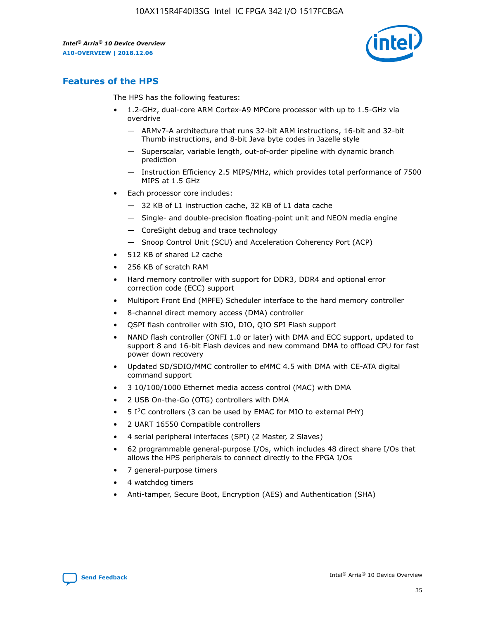

## **Features of the HPS**

The HPS has the following features:

- 1.2-GHz, dual-core ARM Cortex-A9 MPCore processor with up to 1.5-GHz via overdrive
	- ARMv7-A architecture that runs 32-bit ARM instructions, 16-bit and 32-bit Thumb instructions, and 8-bit Java byte codes in Jazelle style
	- Superscalar, variable length, out-of-order pipeline with dynamic branch prediction
	- Instruction Efficiency 2.5 MIPS/MHz, which provides total performance of 7500 MIPS at 1.5 GHz
- Each processor core includes:
	- 32 KB of L1 instruction cache, 32 KB of L1 data cache
	- Single- and double-precision floating-point unit and NEON media engine
	- CoreSight debug and trace technology
	- Snoop Control Unit (SCU) and Acceleration Coherency Port (ACP)
- 512 KB of shared L2 cache
- 256 KB of scratch RAM
- Hard memory controller with support for DDR3, DDR4 and optional error correction code (ECC) support
- Multiport Front End (MPFE) Scheduler interface to the hard memory controller
- 8-channel direct memory access (DMA) controller
- QSPI flash controller with SIO, DIO, QIO SPI Flash support
- NAND flash controller (ONFI 1.0 or later) with DMA and ECC support, updated to support 8 and 16-bit Flash devices and new command DMA to offload CPU for fast power down recovery
- Updated SD/SDIO/MMC controller to eMMC 4.5 with DMA with CE-ATA digital command support
- 3 10/100/1000 Ethernet media access control (MAC) with DMA
- 2 USB On-the-Go (OTG) controllers with DMA
- $\bullet$  5 I<sup>2</sup>C controllers (3 can be used by EMAC for MIO to external PHY)
- 2 UART 16550 Compatible controllers
- 4 serial peripheral interfaces (SPI) (2 Master, 2 Slaves)
- 62 programmable general-purpose I/Os, which includes 48 direct share I/Os that allows the HPS peripherals to connect directly to the FPGA I/Os
- 7 general-purpose timers
- 4 watchdog timers
- Anti-tamper, Secure Boot, Encryption (AES) and Authentication (SHA)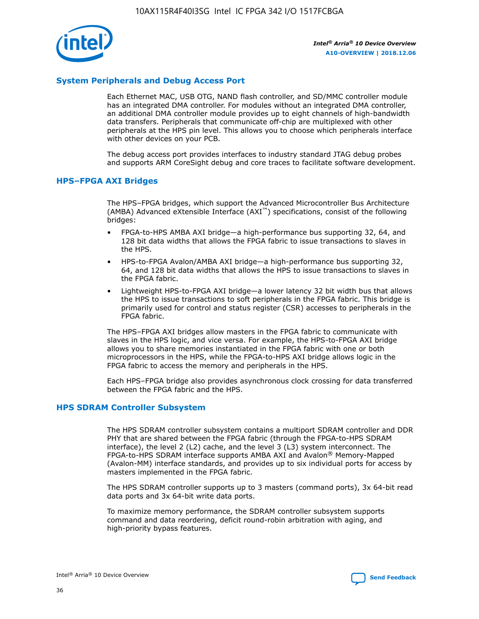

## **System Peripherals and Debug Access Port**

Each Ethernet MAC, USB OTG, NAND flash controller, and SD/MMC controller module has an integrated DMA controller. For modules without an integrated DMA controller, an additional DMA controller module provides up to eight channels of high-bandwidth data transfers. Peripherals that communicate off-chip are multiplexed with other peripherals at the HPS pin level. This allows you to choose which peripherals interface with other devices on your PCB.

The debug access port provides interfaces to industry standard JTAG debug probes and supports ARM CoreSight debug and core traces to facilitate software development.

#### **HPS–FPGA AXI Bridges**

The HPS–FPGA bridges, which support the Advanced Microcontroller Bus Architecture (AMBA) Advanced eXtensible Interface (AXI™) specifications, consist of the following bridges:

- FPGA-to-HPS AMBA AXI bridge—a high-performance bus supporting 32, 64, and 128 bit data widths that allows the FPGA fabric to issue transactions to slaves in the HPS.
- HPS-to-FPGA Avalon/AMBA AXI bridge—a high-performance bus supporting 32, 64, and 128 bit data widths that allows the HPS to issue transactions to slaves in the FPGA fabric.
- Lightweight HPS-to-FPGA AXI bridge—a lower latency 32 bit width bus that allows the HPS to issue transactions to soft peripherals in the FPGA fabric. This bridge is primarily used for control and status register (CSR) accesses to peripherals in the FPGA fabric.

The HPS–FPGA AXI bridges allow masters in the FPGA fabric to communicate with slaves in the HPS logic, and vice versa. For example, the HPS-to-FPGA AXI bridge allows you to share memories instantiated in the FPGA fabric with one or both microprocessors in the HPS, while the FPGA-to-HPS AXI bridge allows logic in the FPGA fabric to access the memory and peripherals in the HPS.

Each HPS–FPGA bridge also provides asynchronous clock crossing for data transferred between the FPGA fabric and the HPS.

#### **HPS SDRAM Controller Subsystem**

The HPS SDRAM controller subsystem contains a multiport SDRAM controller and DDR PHY that are shared between the FPGA fabric (through the FPGA-to-HPS SDRAM interface), the level 2 (L2) cache, and the level 3 (L3) system interconnect. The FPGA-to-HPS SDRAM interface supports AMBA AXI and Avalon® Memory-Mapped (Avalon-MM) interface standards, and provides up to six individual ports for access by masters implemented in the FPGA fabric.

The HPS SDRAM controller supports up to 3 masters (command ports), 3x 64-bit read data ports and 3x 64-bit write data ports.

To maximize memory performance, the SDRAM controller subsystem supports command and data reordering, deficit round-robin arbitration with aging, and high-priority bypass features.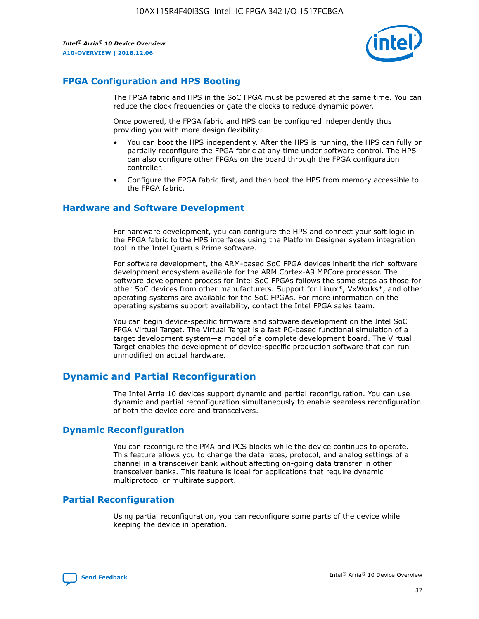

## **FPGA Configuration and HPS Booting**

The FPGA fabric and HPS in the SoC FPGA must be powered at the same time. You can reduce the clock frequencies or gate the clocks to reduce dynamic power.

Once powered, the FPGA fabric and HPS can be configured independently thus providing you with more design flexibility:

- You can boot the HPS independently. After the HPS is running, the HPS can fully or partially reconfigure the FPGA fabric at any time under software control. The HPS can also configure other FPGAs on the board through the FPGA configuration controller.
- Configure the FPGA fabric first, and then boot the HPS from memory accessible to the FPGA fabric.

## **Hardware and Software Development**

For hardware development, you can configure the HPS and connect your soft logic in the FPGA fabric to the HPS interfaces using the Platform Designer system integration tool in the Intel Quartus Prime software.

For software development, the ARM-based SoC FPGA devices inherit the rich software development ecosystem available for the ARM Cortex-A9 MPCore processor. The software development process for Intel SoC FPGAs follows the same steps as those for other SoC devices from other manufacturers. Support for Linux\*, VxWorks\*, and other operating systems are available for the SoC FPGAs. For more information on the operating systems support availability, contact the Intel FPGA sales team.

You can begin device-specific firmware and software development on the Intel SoC FPGA Virtual Target. The Virtual Target is a fast PC-based functional simulation of a target development system—a model of a complete development board. The Virtual Target enables the development of device-specific production software that can run unmodified on actual hardware.

## **Dynamic and Partial Reconfiguration**

The Intel Arria 10 devices support dynamic and partial reconfiguration. You can use dynamic and partial reconfiguration simultaneously to enable seamless reconfiguration of both the device core and transceivers.

## **Dynamic Reconfiguration**

You can reconfigure the PMA and PCS blocks while the device continues to operate. This feature allows you to change the data rates, protocol, and analog settings of a channel in a transceiver bank without affecting on-going data transfer in other transceiver banks. This feature is ideal for applications that require dynamic multiprotocol or multirate support.

## **Partial Reconfiguration**

Using partial reconfiguration, you can reconfigure some parts of the device while keeping the device in operation.

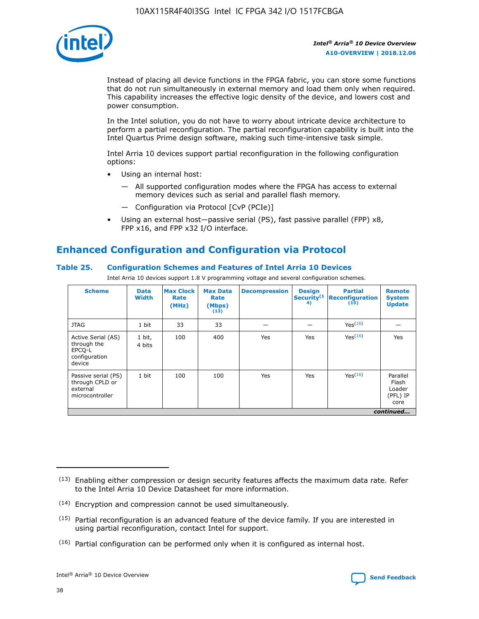

Instead of placing all device functions in the FPGA fabric, you can store some functions that do not run simultaneously in external memory and load them only when required. This capability increases the effective logic density of the device, and lowers cost and power consumption.

In the Intel solution, you do not have to worry about intricate device architecture to perform a partial reconfiguration. The partial reconfiguration capability is built into the Intel Quartus Prime design software, making such time-intensive task simple.

Intel Arria 10 devices support partial reconfiguration in the following configuration options:

- Using an internal host:
	- All supported configuration modes where the FPGA has access to external memory devices such as serial and parallel flash memory.
	- Configuration via Protocol [CvP (PCIe)]
- Using an external host—passive serial (PS), fast passive parallel (FPP) x8, FPP x16, and FPP x32 I/O interface.

# **Enhanced Configuration and Configuration via Protocol**

## **Table 25. Configuration Schemes and Features of Intel Arria 10 Devices**

Intel Arria 10 devices support 1.8 V programming voltage and several configuration schemes.

| <b>Scheme</b>                                                          | <b>Data</b><br><b>Width</b> | <b>Max Clock</b><br>Rate<br>(MHz) | <b>Max Data</b><br>Rate<br>(Mbps)<br>(13) | <b>Decompression</b> | <b>Design</b><br>Security <sup>(1</sup><br>4) | <b>Partial</b><br><b>Reconfiguration</b><br>(15) | <b>Remote</b><br><b>System</b><br><b>Update</b> |
|------------------------------------------------------------------------|-----------------------------|-----------------------------------|-------------------------------------------|----------------------|-----------------------------------------------|--------------------------------------------------|-------------------------------------------------|
| <b>JTAG</b>                                                            | 1 bit                       | 33                                | 33                                        |                      |                                               | Yes(16)                                          |                                                 |
| Active Serial (AS)<br>through the<br>EPCO-L<br>configuration<br>device | 1 bit,<br>4 bits            | 100                               | 400                                       | Yes                  | Yes                                           | $Y_{PS}(16)$                                     | Yes                                             |
| Passive serial (PS)<br>through CPLD or<br>external<br>microcontroller  | 1 bit                       | 100                               | 100                                       | Yes                  | Yes                                           | Yes(16)                                          | Parallel<br>Flash<br>Loader<br>(PFL) IP<br>core |
|                                                                        |                             |                                   |                                           |                      |                                               |                                                  | continued                                       |

<sup>(13)</sup> Enabling either compression or design security features affects the maximum data rate. Refer to the Intel Arria 10 Device Datasheet for more information.

<sup>(14)</sup> Encryption and compression cannot be used simultaneously.

 $(15)$  Partial reconfiguration is an advanced feature of the device family. If you are interested in using partial reconfiguration, contact Intel for support.

 $(16)$  Partial configuration can be performed only when it is configured as internal host.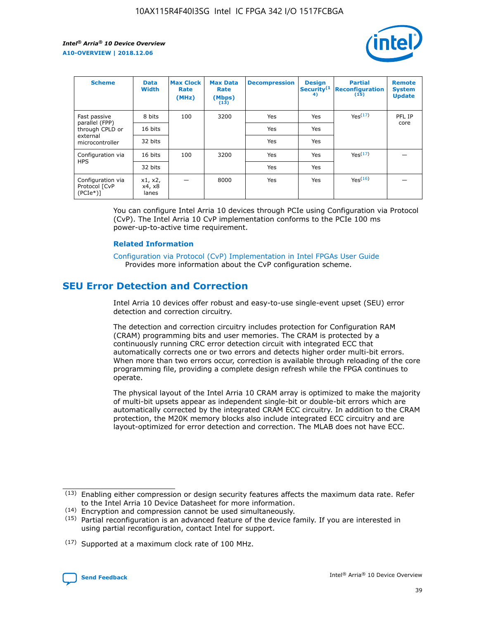

| <b>Scheme</b>                                    | <b>Data</b><br><b>Width</b> | <b>Max Clock</b><br>Rate<br>(MHz) | <b>Max Data</b><br>Rate<br>(Mbps)<br>(13) | <b>Decompression</b> | <b>Design</b><br>Security <sup>(1</sup><br>4) | <b>Partial</b><br><b>Reconfiguration</b><br>(15) | <b>Remote</b><br><b>System</b><br><b>Update</b> |
|--------------------------------------------------|-----------------------------|-----------------------------------|-------------------------------------------|----------------------|-----------------------------------------------|--------------------------------------------------|-------------------------------------------------|
| Fast passive                                     | 8 bits                      | 100                               | 3200                                      | Yes                  | Yes                                           | Yes(17)                                          | PFL IP                                          |
| parallel (FPP)<br>through CPLD or                | 16 bits                     |                                   |                                           | Yes                  | Yes                                           |                                                  | core                                            |
| external<br>microcontroller                      | 32 bits                     |                                   |                                           | Yes                  | Yes                                           |                                                  |                                                 |
| Configuration via                                | 16 bits                     | 100                               | 3200                                      | Yes                  | Yes                                           | Yes <sup>(17)</sup>                              |                                                 |
| <b>HPS</b>                                       | 32 bits                     |                                   |                                           | Yes                  | Yes                                           |                                                  |                                                 |
| Configuration via<br>Protocol [CvP<br>$(PCIe^*)$ | x1, x2,<br>x4, x8<br>lanes  |                                   | 8000                                      | Yes                  | Yes                                           | Yes(16)                                          |                                                 |

You can configure Intel Arria 10 devices through PCIe using Configuration via Protocol (CvP). The Intel Arria 10 CvP implementation conforms to the PCIe 100 ms power-up-to-active time requirement.

#### **Related Information**

[Configuration via Protocol \(CvP\) Implementation in Intel FPGAs User Guide](https://www.intel.com/content/www/us/en/programmable/documentation/dsu1441819344145.html#dsu1442269728522) Provides more information about the CvP configuration scheme.

# **SEU Error Detection and Correction**

Intel Arria 10 devices offer robust and easy-to-use single-event upset (SEU) error detection and correction circuitry.

The detection and correction circuitry includes protection for Configuration RAM (CRAM) programming bits and user memories. The CRAM is protected by a continuously running CRC error detection circuit with integrated ECC that automatically corrects one or two errors and detects higher order multi-bit errors. When more than two errors occur, correction is available through reloading of the core programming file, providing a complete design refresh while the FPGA continues to operate.

The physical layout of the Intel Arria 10 CRAM array is optimized to make the majority of multi-bit upsets appear as independent single-bit or double-bit errors which are automatically corrected by the integrated CRAM ECC circuitry. In addition to the CRAM protection, the M20K memory blocks also include integrated ECC circuitry and are layout-optimized for error detection and correction. The MLAB does not have ECC.

<sup>(17)</sup> Supported at a maximum clock rate of 100 MHz.



 $(13)$  Enabling either compression or design security features affects the maximum data rate. Refer to the Intel Arria 10 Device Datasheet for more information.

<sup>(14)</sup> Encryption and compression cannot be used simultaneously.

 $(15)$  Partial reconfiguration is an advanced feature of the device family. If you are interested in using partial reconfiguration, contact Intel for support.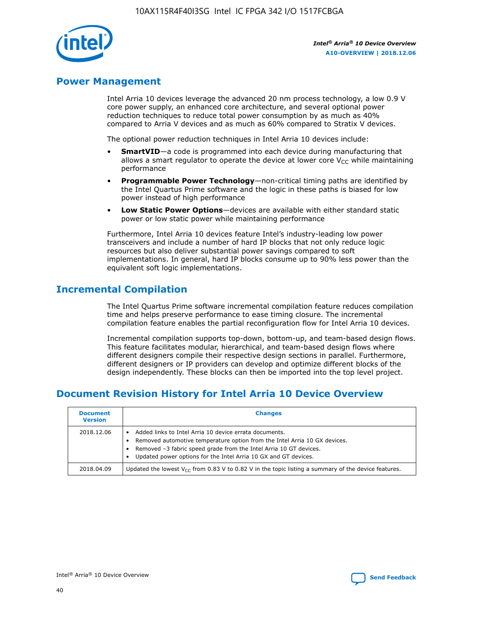

## **Power Management**

Intel Arria 10 devices leverage the advanced 20 nm process technology, a low 0.9 V core power supply, an enhanced core architecture, and several optional power reduction techniques to reduce total power consumption by as much as 40% compared to Arria V devices and as much as 60% compared to Stratix V devices.

The optional power reduction techniques in Intel Arria 10 devices include:

- **SmartVID**—a code is programmed into each device during manufacturing that allows a smart regulator to operate the device at lower core  $V_{CC}$  while maintaining performance
- **Programmable Power Technology**—non-critical timing paths are identified by the Intel Quartus Prime software and the logic in these paths is biased for low power instead of high performance
- **Low Static Power Options**—devices are available with either standard static power or low static power while maintaining performance

Furthermore, Intel Arria 10 devices feature Intel's industry-leading low power transceivers and include a number of hard IP blocks that not only reduce logic resources but also deliver substantial power savings compared to soft implementations. In general, hard IP blocks consume up to 90% less power than the equivalent soft logic implementations.

# **Incremental Compilation**

The Intel Quartus Prime software incremental compilation feature reduces compilation time and helps preserve performance to ease timing closure. The incremental compilation feature enables the partial reconfiguration flow for Intel Arria 10 devices.

Incremental compilation supports top-down, bottom-up, and team-based design flows. This feature facilitates modular, hierarchical, and team-based design flows where different designers compile their respective design sections in parallel. Furthermore, different designers or IP providers can develop and optimize different blocks of the design independently. These blocks can then be imported into the top level project.

# **Document Revision History for Intel Arria 10 Device Overview**

| <b>Document</b><br><b>Version</b> | <b>Changes</b>                                                                                                                                                                                                                                                              |
|-----------------------------------|-----------------------------------------------------------------------------------------------------------------------------------------------------------------------------------------------------------------------------------------------------------------------------|
| 2018.12.06                        | Added links to Intel Arria 10 device errata documents.<br>Removed automotive temperature option from the Intel Arria 10 GX devices.<br>Removed -3 fabric speed grade from the Intel Arria 10 GT devices.<br>Updated power options for the Intel Arria 10 GX and GT devices. |
| 2018.04.09                        | Updated the lowest $V_{CC}$ from 0.83 V to 0.82 V in the topic listing a summary of the device features.                                                                                                                                                                    |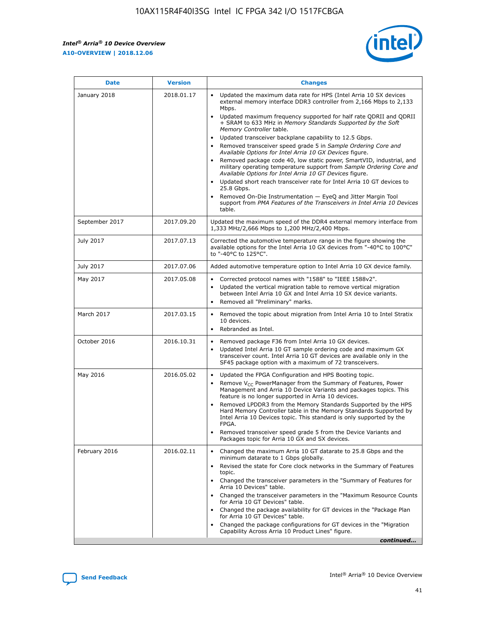

| <b>Date</b>    | <b>Version</b> | <b>Changes</b>                                                                                                                                                                                                                                                                                                                                                                                                                                                                                                                                                                                                                                                                                                                                                                                                                                                                                                                                               |
|----------------|----------------|--------------------------------------------------------------------------------------------------------------------------------------------------------------------------------------------------------------------------------------------------------------------------------------------------------------------------------------------------------------------------------------------------------------------------------------------------------------------------------------------------------------------------------------------------------------------------------------------------------------------------------------------------------------------------------------------------------------------------------------------------------------------------------------------------------------------------------------------------------------------------------------------------------------------------------------------------------------|
| January 2018   | 2018.01.17     | Updated the maximum data rate for HPS (Intel Arria 10 SX devices<br>external memory interface DDR3 controller from 2,166 Mbps to 2,133<br>Mbps.<br>Updated maximum frequency supported for half rate QDRII and QDRII<br>+ SRAM to 633 MHz in Memory Standards Supported by the Soft<br>Memory Controller table.<br>Updated transceiver backplane capability to 12.5 Gbps.<br>Removed transceiver speed grade 5 in Sample Ordering Core and<br>Available Options for Intel Arria 10 GX Devices figure.<br>Removed package code 40, low static power, SmartVID, industrial, and<br>military operating temperature support from Sample Ordering Core and<br>Available Options for Intel Arria 10 GT Devices figure.<br>Updated short reach transceiver rate for Intel Arria 10 GT devices to<br>25.8 Gbps.<br>Removed On-Die Instrumentation - EyeQ and Jitter Margin Tool<br>support from PMA Features of the Transceivers in Intel Arria 10 Devices<br>table. |
| September 2017 | 2017.09.20     | Updated the maximum speed of the DDR4 external memory interface from<br>1,333 MHz/2,666 Mbps to 1,200 MHz/2,400 Mbps.                                                                                                                                                                                                                                                                                                                                                                                                                                                                                                                                                                                                                                                                                                                                                                                                                                        |
| July 2017      | 2017.07.13     | Corrected the automotive temperature range in the figure showing the<br>available options for the Intel Arria 10 GX devices from "-40°C to 100°C"<br>to "-40°C to 125°C".                                                                                                                                                                                                                                                                                                                                                                                                                                                                                                                                                                                                                                                                                                                                                                                    |
| July 2017      | 2017.07.06     | Added automotive temperature option to Intel Arria 10 GX device family.                                                                                                                                                                                                                                                                                                                                                                                                                                                                                                                                                                                                                                                                                                                                                                                                                                                                                      |
| May 2017       | 2017.05.08     | Corrected protocol names with "1588" to "IEEE 1588v2".<br>$\bullet$<br>Updated the vertical migration table to remove vertical migration<br>$\bullet$<br>between Intel Arria 10 GX and Intel Arria 10 SX device variants.<br>Removed all "Preliminary" marks.<br>$\bullet$                                                                                                                                                                                                                                                                                                                                                                                                                                                                                                                                                                                                                                                                                   |
| March 2017     | 2017.03.15     | Removed the topic about migration from Intel Arria 10 to Intel Stratix<br>$\bullet$<br>10 devices.<br>Rebranded as Intel.<br>$\bullet$                                                                                                                                                                                                                                                                                                                                                                                                                                                                                                                                                                                                                                                                                                                                                                                                                       |
| October 2016   | 2016.10.31     | Removed package F36 from Intel Arria 10 GX devices.<br>Updated Intel Arria 10 GT sample ordering code and maximum GX<br>$\bullet$<br>transceiver count. Intel Arria 10 GT devices are available only in the<br>SF45 package option with a maximum of 72 transceivers.                                                                                                                                                                                                                                                                                                                                                                                                                                                                                                                                                                                                                                                                                        |
| May 2016       | 2016.05.02     | Updated the FPGA Configuration and HPS Booting topic.<br>$\bullet$<br>Remove V <sub>CC</sub> PowerManager from the Summary of Features, Power<br>Management and Arria 10 Device Variants and packages topics. This<br>feature is no longer supported in Arria 10 devices.<br>Removed LPDDR3 from the Memory Standards Supported by the HPS<br>Hard Memory Controller table in the Memory Standards Supported by<br>Intel Arria 10 Devices topic. This standard is only supported by the<br><b>FPGA</b><br>Removed transceiver speed grade 5 from the Device Variants and<br>Packages topic for Arria 10 GX and SX devices.                                                                                                                                                                                                                                                                                                                                   |
| February 2016  | 2016.02.11     | Changed the maximum Arria 10 GT datarate to 25.8 Gbps and the<br>$\bullet$<br>minimum datarate to 1 Gbps globally.<br>Revised the state for Core clock networks in the Summary of Features<br>$\bullet$<br>topic.<br>Changed the transceiver parameters in the "Summary of Features for<br>$\bullet$<br>Arria 10 Devices" table.<br>Changed the transceiver parameters in the "Maximum Resource Counts<br>for Arria 10 GT Devices" table.<br>Changed the package availability for GT devices in the "Package Plan<br>for Arria 10 GT Devices" table.<br>Changed the package configurations for GT devices in the "Migration"<br>Capability Across Arria 10 Product Lines" figure.<br>continued                                                                                                                                                                                                                                                               |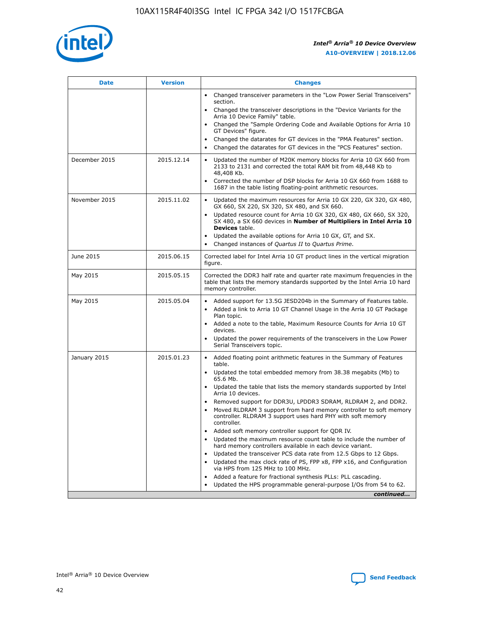

| <b>Date</b>   | <b>Version</b> | <b>Changes</b>                                                                                                                                                               |
|---------------|----------------|------------------------------------------------------------------------------------------------------------------------------------------------------------------------------|
|               |                | • Changed transceiver parameters in the "Low Power Serial Transceivers"<br>section.                                                                                          |
|               |                | Changed the transceiver descriptions in the "Device Variants for the<br>Arria 10 Device Family" table.                                                                       |
|               |                | Changed the "Sample Ordering Code and Available Options for Arria 10<br>GT Devices" figure.                                                                                  |
|               |                | Changed the datarates for GT devices in the "PMA Features" section.                                                                                                          |
|               |                | Changed the datarates for GT devices in the "PCS Features" section.                                                                                                          |
| December 2015 | 2015.12.14     | Updated the number of M20K memory blocks for Arria 10 GX 660 from<br>2133 to 2131 and corrected the total RAM bit from 48,448 Kb to<br>48,408 Kb.                            |
|               |                | Corrected the number of DSP blocks for Arria 10 GX 660 from 1688 to<br>1687 in the table listing floating-point arithmetic resources.                                        |
| November 2015 | 2015.11.02     | • Updated the maximum resources for Arria 10 GX 220, GX 320, GX 480,<br>GX 660, SX 220, SX 320, SX 480, and SX 660.                                                          |
|               |                | • Updated resource count for Arria 10 GX 320, GX 480, GX 660, SX 320,<br>SX 480, a SX 660 devices in Number of Multipliers in Intel Arria 10<br>Devices table.               |
|               |                | Updated the available options for Arria 10 GX, GT, and SX.                                                                                                                   |
|               |                | Changed instances of Quartus II to Quartus Prime.                                                                                                                            |
| June 2015     | 2015.06.15     | Corrected label for Intel Arria 10 GT product lines in the vertical migration<br>figure.                                                                                     |
| May 2015      | 2015.05.15     | Corrected the DDR3 half rate and quarter rate maximum frequencies in the<br>table that lists the memory standards supported by the Intel Arria 10 hard<br>memory controller. |
| May 2015      | 2015.05.04     | Added support for 13.5G JESD204b in the Summary of Features table.<br>Added a link to Arria 10 GT Channel Usage in the Arria 10 GT Package<br>Plan topic.                    |
|               |                | • Added a note to the table, Maximum Resource Counts for Arria 10 GT<br>devices.                                                                                             |
|               |                | Updated the power requirements of the transceivers in the Low Power<br>Serial Transceivers topic.                                                                            |
| January 2015  | 2015.01.23     | • Added floating point arithmetic features in the Summary of Features<br>table.                                                                                              |
|               |                | Updated the total embedded memory from 38.38 megabits (Mb) to<br>$\bullet$<br>65.6 Mb.                                                                                       |
|               |                | Updated the table that lists the memory standards supported by Intel<br>Arria 10 devices.                                                                                    |
|               |                | Removed support for DDR3U, LPDDR3 SDRAM, RLDRAM 2, and DDR2.                                                                                                                 |
|               |                | Moved RLDRAM 3 support from hard memory controller to soft memory<br>controller. RLDRAM 3 support uses hard PHY with soft memory<br>controller.                              |
|               |                | Added soft memory controller support for QDR IV.                                                                                                                             |
|               |                | Updated the maximum resource count table to include the number of<br>hard memory controllers available in each device variant.                                               |
|               |                | Updated the transceiver PCS data rate from 12.5 Gbps to 12 Gbps.<br>$\bullet$                                                                                                |
|               |                | Updated the max clock rate of PS, FPP x8, FPP x16, and Configuration<br>via HPS from 125 MHz to 100 MHz.                                                                     |
|               |                | Added a feature for fractional synthesis PLLs: PLL cascading.                                                                                                                |
|               |                | Updated the HPS programmable general-purpose I/Os from 54 to 62.                                                                                                             |
|               |                | continued                                                                                                                                                                    |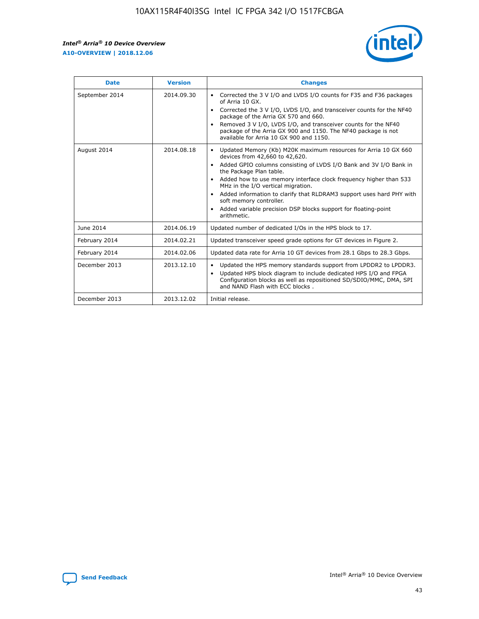r



| <b>Date</b>    | <b>Version</b> | <b>Changes</b>                                                                                                                                                                                                                                                                                                                                                                                                                                                                                                                                      |
|----------------|----------------|-----------------------------------------------------------------------------------------------------------------------------------------------------------------------------------------------------------------------------------------------------------------------------------------------------------------------------------------------------------------------------------------------------------------------------------------------------------------------------------------------------------------------------------------------------|
| September 2014 | 2014.09.30     | Corrected the 3 V I/O and LVDS I/O counts for F35 and F36 packages<br>$\bullet$<br>of Arria 10 GX.<br>Corrected the 3 V I/O, LVDS I/O, and transceiver counts for the NF40<br>$\bullet$<br>package of the Arria GX 570 and 660.<br>Removed 3 V I/O, LVDS I/O, and transceiver counts for the NF40<br>package of the Arria GX 900 and 1150. The NF40 package is not<br>available for Arria 10 GX 900 and 1150.                                                                                                                                       |
| August 2014    | 2014.08.18     | Updated Memory (Kb) M20K maximum resources for Arria 10 GX 660<br>devices from 42,660 to 42,620.<br>Added GPIO columns consisting of LVDS I/O Bank and 3V I/O Bank in<br>$\bullet$<br>the Package Plan table.<br>Added how to use memory interface clock frequency higher than 533<br>$\bullet$<br>MHz in the I/O vertical migration.<br>Added information to clarify that RLDRAM3 support uses hard PHY with<br>$\bullet$<br>soft memory controller.<br>Added variable precision DSP blocks support for floating-point<br>$\bullet$<br>arithmetic. |
| June 2014      | 2014.06.19     | Updated number of dedicated I/Os in the HPS block to 17.                                                                                                                                                                                                                                                                                                                                                                                                                                                                                            |
| February 2014  | 2014.02.21     | Updated transceiver speed grade options for GT devices in Figure 2.                                                                                                                                                                                                                                                                                                                                                                                                                                                                                 |
| February 2014  | 2014.02.06     | Updated data rate for Arria 10 GT devices from 28.1 Gbps to 28.3 Gbps.                                                                                                                                                                                                                                                                                                                                                                                                                                                                              |
| December 2013  | 2013.12.10     | Updated the HPS memory standards support from LPDDR2 to LPDDR3.<br>Updated HPS block diagram to include dedicated HPS I/O and FPGA<br>$\bullet$<br>Configuration blocks as well as repositioned SD/SDIO/MMC, DMA, SPI<br>and NAND Flash with ECC blocks.                                                                                                                                                                                                                                                                                            |
| December 2013  | 2013.12.02     | Initial release.                                                                                                                                                                                                                                                                                                                                                                                                                                                                                                                                    |